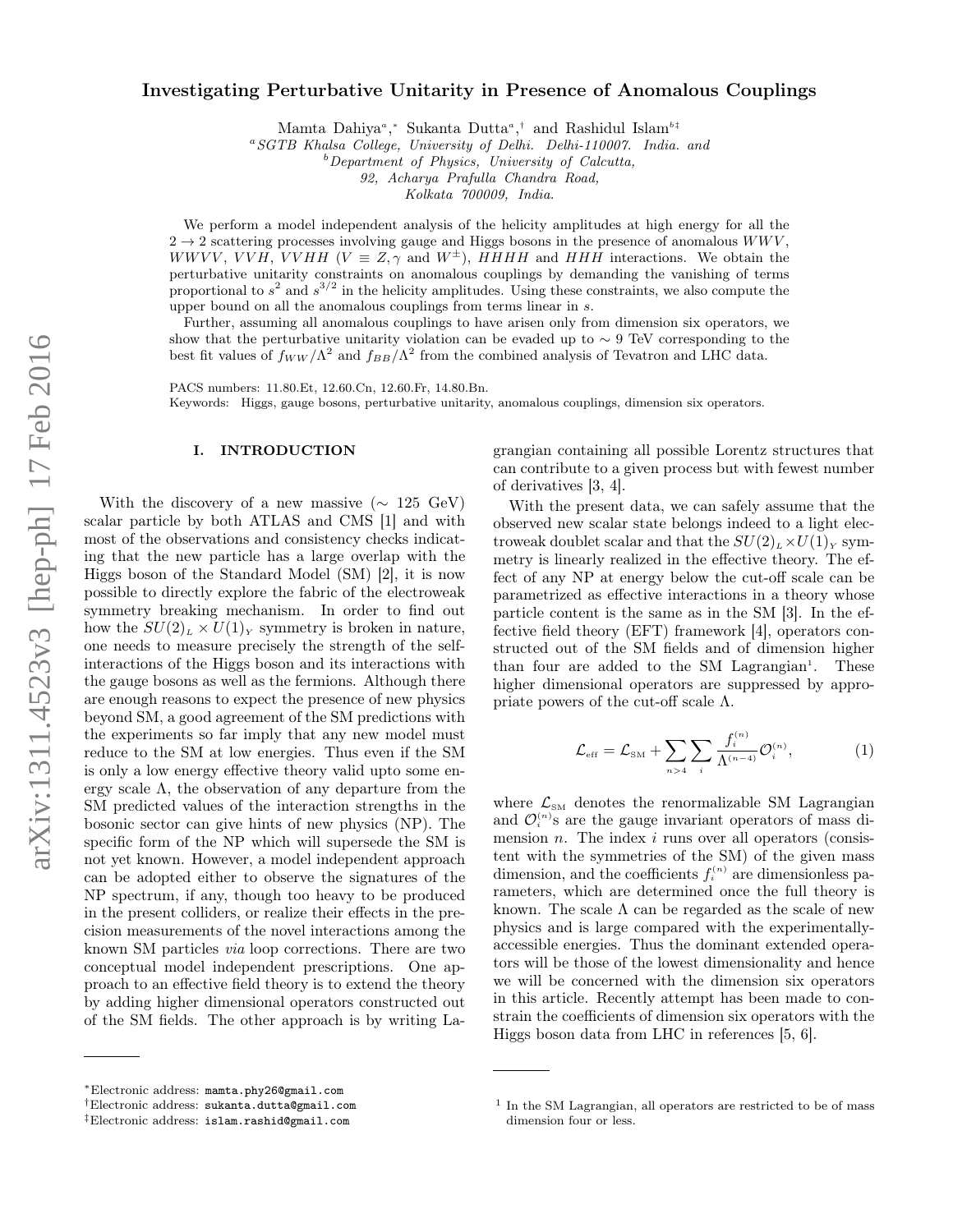# Investigating Perturbative Unitarity in Presence of Anomalous Couplings

Mamta Dahiya<sup>a</sup>,\* Sukanta Dutta<sup>a</sup>,† and Rashidul Islam<sup>b‡</sup>

<sup>a</sup>SGTB Khalsa College, University of Delhi. Delhi-110007. India. and

 $b$  Department of Physics, University of Calcutta,

92, Acharya Prafulla Chandra Road,

Kolkata 700009, India.

We perform a model independent analysis of the helicity amplitudes at high energy for all the  $2 \rightarrow 2$  scattering processes involving gauge and Higgs bosons in the presence of anomalous  $WWV$ , WWVV, VVH, VVHH ( $V \equiv Z$ ,  $\gamma$  and  $W^{\pm}$ ), HHHH and HHH interactions. We obtain the perturbative unitarity constraints on anomalous couplings by demanding the vanishing of terms proportional to  $s^2$  and  $s^{3/2}$  in the helicity amplitudes. Using these constraints, we also compute the upper bound on all the anomalous couplings from terms linear in s.

Further, assuming all anomalous couplings to have arisen only from dimension six operators, we show that the perturbative unitarity violation can be evaded up to  $\sim$  9 TeV corresponding to the best fit values of  $f_{WW}/\Lambda^2$  and  $f_{BB}/\Lambda^2$  from the combined analysis of Tevatron and LHC data.

PACS numbers: 11.80.Et, 12.60.Cn, 12.60.Fr, 14.80.Bn. Keywords: Higgs, gauge bosons, perturbative unitarity, anomalous couplings, dimension six operators.

### I. INTRODUCTION

With the discovery of a new massive ( $\sim 125 \text{ GeV}$ ) scalar particle by both ATLAS and CMS [1] and with most of the observations and consistency checks indicating that the new particle has a large overlap with the Higgs boson of the Standard Model (SM) [2], it is now possible to directly explore the fabric of the electroweak symmetry breaking mechanism. In order to find out how the  $SU(2)_L \times U(1)_Y$  symmetry is broken in nature, one needs to measure precisely the strength of the selfinteractions of the Higgs boson and its interactions with the gauge bosons as well as the fermions. Although there are enough reasons to expect the presence of new physics beyond SM, a good agreement of the SM predictions with the experiments so far imply that any new model must reduce to the SM at low energies. Thus even if the SM is only a low energy effective theory valid upto some energy scale  $\Lambda$ , the observation of any departure from the SM predicted values of the interaction strengths in the bosonic sector can give hints of new physics (NP). The specific form of the NP which will supersede the SM is not yet known. However, a model independent approach can be adopted either to observe the signatures of the NP spectrum, if any, though too heavy to be produced in the present colliders, or realize their effects in the precision measurements of the novel interactions among the known SM particles via loop corrections. There are two conceptual model independent prescriptions. One approach to an effective field theory is to extend the theory by adding higher dimensional operators constructed out of the SM fields. The other approach is by writing La-

grangian containing all possible Lorentz structures that can contribute to a given process but with fewest number of derivatives [3, 4].

With the present data, we can safely assume that the observed new scalar state belongs indeed to a light electroweak doublet scalar and that the  $SU(2)_L \times U(1)_Y$  symmetry is linearly realized in the effective theory. The effect of any NP at energy below the cut-off scale can be parametrized as effective interactions in a theory whose particle content is the same as in the SM [3]. In the effective field theory (EFT) framework [4], operators constructed out of the SM fields and of dimension higher than four are added to the SM Lagrangian<sup>1</sup>. These higher dimensional operators are suppressed by appropriate powers of the cut-off scale  $\Lambda$ .

$$
\mathcal{L}_{\text{eff}} = \mathcal{L}_{\text{SM}} + \sum_{n>4} \sum_{i} \frac{f_i^{(n)}}{\Lambda^{(n-4)}} \mathcal{O}_i^{(n)},\tag{1}
$$

where  $\mathcal{L}_{\text{SM}}$  denotes the renormalizable SM Lagrangian and  $\mathcal{O}_i^{(n)}$ s are the gauge invariant operators of mass dimension  $n$ . The index  $i$  runs over all operators (consistent with the symmetries of the SM) of the given mass dimension, and the coefficients  $f_i^{(n)}$  are dimensionless parameters, which are determined once the full theory is known. The scale  $\Lambda$  can be regarded as the scale of new physics and is large compared with the experimentallyaccessible energies. Thus the dominant extended operators will be those of the lowest dimensionality and hence we will be concerned with the dimension six operators in this article. Recently attempt has been made to constrain the coefficients of dimension six operators with the Higgs boson data from LHC in references [5, 6].

<sup>∗</sup>Electronic address: mamta.phy26@gmail.com

<sup>†</sup>Electronic address: sukanta.dutta@gmail.com

<sup>‡</sup>Electronic address: islam.rashid@gmail.com

<sup>&</sup>lt;sup>1</sup> In the SM Lagrangian, all operators are restricted to be of mass dimension four or less.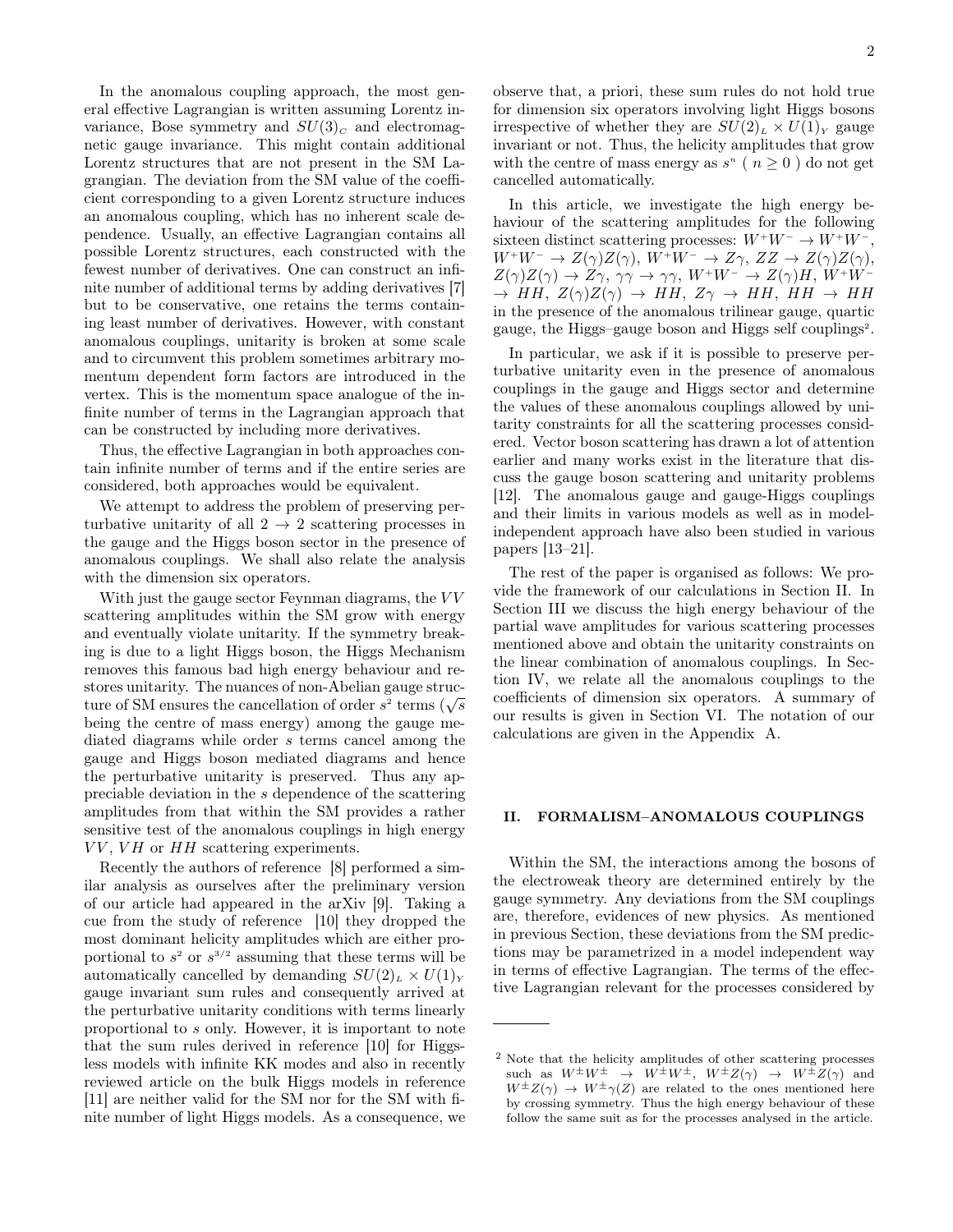In the anomalous coupling approach, the most general effective Lagrangian is written assuming Lorentz invariance, Bose symmetry and  $SU(3)<sub>C</sub>$  and electromagnetic gauge invariance. This might contain additional Lorentz structures that are not present in the SM Lagrangian. The deviation from the SM value of the coefficient corresponding to a given Lorentz structure induces an anomalous coupling, which has no inherent scale dependence. Usually, an effective Lagrangian contains all possible Lorentz structures, each constructed with the fewest number of derivatives. One can construct an infinite number of additional terms by adding derivatives [7] but to be conservative, one retains the terms containing least number of derivatives. However, with constant anomalous couplings, unitarity is broken at some scale and to circumvent this problem sometimes arbitrary momentum dependent form factors are introduced in the vertex. This is the momentum space analogue of the infinite number of terms in the Lagrangian approach that can be constructed by including more derivatives.

Thus, the effective Lagrangian in both approaches contain infinite number of terms and if the entire series are considered, both approaches would be equivalent.

We attempt to address the problem of preserving perturbative unitarity of all  $2 \rightarrow 2$  scattering processes in the gauge and the Higgs boson sector in the presence of anomalous couplings. We shall also relate the analysis with the dimension six operators.

With just the gauge sector Feynman diagrams, the  $VV$ scattering amplitudes within the SM grow with energy and eventually violate unitarity. If the symmetry breaking is due to a light Higgs boson, the Higgs Mechanism removes this famous bad high energy behaviour and restores unitarity. The nuances of non-Abelian gauge strucstores unitarity. The nuances of non-Abelian gauge structure of SM ensures the cancellation of order  $s^2$  terms ( $\sqrt{s}$ being the centre of mass energy) among the gauge mediated diagrams while order s terms cancel among the gauge and Higgs boson mediated diagrams and hence the perturbative unitarity is preserved. Thus any appreciable deviation in the s dependence of the scattering amplitudes from that within the SM provides a rather sensitive test of the anomalous couplings in high energy  $VV, VH$  or  $HH$  scattering experiments.

Recently the authors of reference [8] performed a similar analysis as ourselves after the preliminary version of our article had appeared in the arXiv [9]. Taking a cue from the study of reference [10] they dropped the most dominant helicity amplitudes which are either proportional to  $s^2$  or  $s^{3/2}$  assuming that these terms will be automatically cancelled by demanding  $SU(2)_L \times U(1)_Y$ gauge invariant sum rules and consequently arrived at the perturbative unitarity conditions with terms linearly proportional to s only. However, it is important to note that the sum rules derived in reference [10] for Higgsless models with infinite KK modes and also in recently reviewed article on the bulk Higgs models in reference [11] are neither valid for the SM nor for the SM with finite number of light Higgs models. As a consequence, we

observe that, a priori, these sum rules do not hold true for dimension six operators involving light Higgs bosons irrespective of whether they are  $SU(2)_L \times U(1)_Y$  gauge invariant or not. Thus, the helicity amplitudes that grow with the centre of mass energy as  $s^n$  ( $n \geq 0$ ) do not get cancelled automatically.

In this article, we investigate the high energy behaviour of the scattering amplitudes for the following sixteen distinct scattering processes:  $W^+W^- \to W^+W^-,$  $W^+W^- \to Z(\gamma)Z(\gamma), W^+W^- \to Z\gamma, ZZ \to Z(\gamma)Z(\gamma),$  $Z(\gamma)Z(\gamma) \to Z\gamma$ ,  $\gamma\gamma \to \gamma\gamma$ ,  $W^+W^- \to Z(\gamma)H$ ,  $W^+W^ \rightarrow$  HH,  $Z(\gamma)Z(\gamma)$   $\rightarrow$  HH,  $Z\gamma$   $\rightarrow$  HH, HH  $\rightarrow$  HH in the presence of the anomalous trilinear gauge, quartic gauge, the Higgs-gauge boson and Higgs self couplings<sup>2</sup>.

In particular, we ask if it is possible to preserve perturbative unitarity even in the presence of anomalous couplings in the gauge and Higgs sector and determine the values of these anomalous couplings allowed by unitarity constraints for all the scattering processes considered. Vector boson scattering has drawn a lot of attention earlier and many works exist in the literature that discuss the gauge boson scattering and unitarity problems [12]. The anomalous gauge and gauge-Higgs couplings and their limits in various models as well as in modelindependent approach have also been studied in various papers [13–21].

The rest of the paper is organised as follows: We provide the framework of our calculations in Section II. In Section III we discuss the high energy behaviour of the partial wave amplitudes for various scattering processes mentioned above and obtain the unitarity constraints on the linear combination of anomalous couplings. In Section IV, we relate all the anomalous couplings to the coefficients of dimension six operators. A summary of our results is given in Section VI. The notation of our calculations are given in the Appendix A.

#### II. FORMALISM–ANOMALOUS COUPLINGS

Within the SM, the interactions among the bosons of the electroweak theory are determined entirely by the gauge symmetry. Any deviations from the SM couplings are, therefore, evidences of new physics. As mentioned in previous Section, these deviations from the SM predictions may be parametrized in a model independent way in terms of effective Lagrangian. The terms of the effective Lagrangian relevant for the processes considered by

<sup>2</sup> Note that the helicity amplitudes of other scattering processes such as  $W^{\pm}W^{\pm} \rightarrow W^{\pm}W^{\pm}$ ,  $W^{\pm}Z(\gamma) \rightarrow W^{\pm}Z(\gamma)$  and  $W^{\pm}Z(\gamma) \rightarrow W^{\pm} \gamma(Z)$  are related to the ones mentioned here by crossing symmetry. Thus the high energy behaviour of these follow the same suit as for the processes analysed in the article.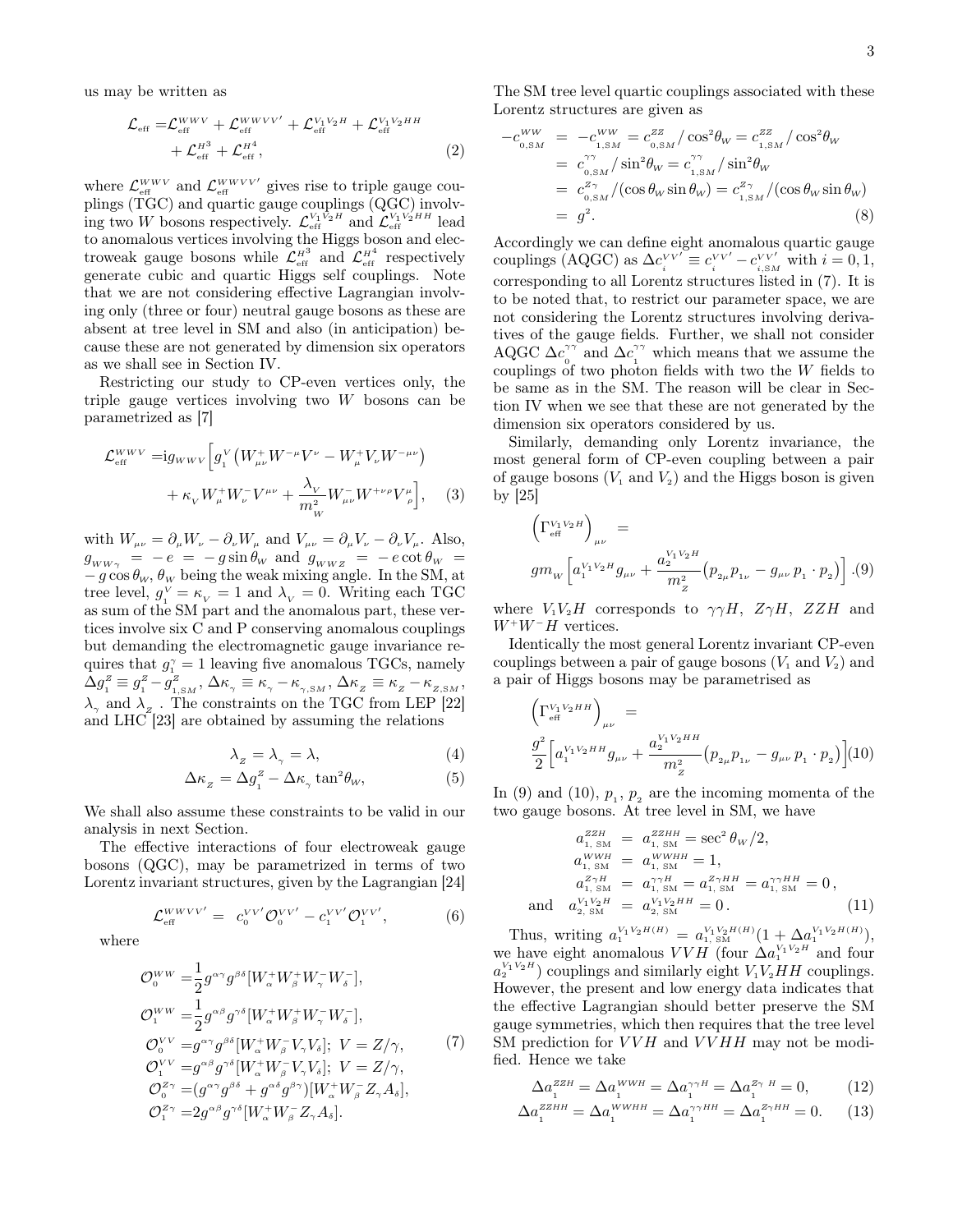us may be written as

$$
\mathcal{L}_{\text{eff}} = \mathcal{L}_{\text{eff}}^{WWV} + \mathcal{L}_{\text{eff}}^{WWVV'} + \mathcal{L}_{\text{eff}}^{V_1 V_2 H} + \mathcal{L}_{\text{eff}}^{V_1 V_2 H H} + \mathcal{L}_{\text{eff}}^{H^3} + \mathcal{L}_{\text{eff}}^{H^4},
$$
\n(2)

where  $\mathcal{L}_{\text{\tiny eff}}^{WWV}$  and  $\mathcal{L}_{\text{\tiny eff}}^{WWVV'}$  gives rise to triple gauge couplings (TGC) and quartic gauge couplings (QGC) involving two W bosons respectively.  $\mathcal{L}_{\text{eff}}^{V_1 V_2 H}$  and  $\mathcal{L}_{\text{eff}}^{V_1 V_2 H H}$  lead to anomalous vertices involving the Higgs boson and electroweak gauge bosons while  $\mathcal{L}_{\text{eff}}^{H^3}$  and  $\mathcal{L}_{\text{eff}}^{H^4}$  respectively generate cubic and quartic Higgs self couplings. Note that we are not considering effective Lagrangian involving only (three or four) neutral gauge bosons as these are absent at tree level in SM and also (in anticipation) because these are not generated by dimension six operators as we shall see in Section IV.

Restricting our study to CP-even vertices only, the triple gauge vertices involving two W bosons can be parametrized as [7]

$$
\mathcal{L}_{\text{eff}}^{WWV} = ig_{WWV} \left[ g_1^V \left( W_{\mu\nu}^+ W^{-\mu} V^{\nu} - W_{\mu}^+ V_{\nu} W^{-\mu\nu} \right) \right. \\ \left. + \kappa_V W_{\mu}^+ W_{\nu}^- V^{\mu\nu} + \frac{\lambda_V}{m_W^2} W_{\mu\nu}^- W^{+\nu\rho} V^{\mu}_{\rho} \right], \quad (3)
$$

with  $W_{\mu\nu} = \partial_{\mu}W_{\nu} - \partial_{\nu}W_{\mu}$  and  $V_{\mu\nu} = \partial_{\mu}V_{\nu} - \partial_{\nu}V_{\mu}$ . Also,  $g_{_{WW\gamma}}$  =  $-e$  =  $-g \sin \theta_w$  and  $g_{_{WWZ}}$  =  $-e \cot \theta_w$  =  $-g \cos \theta_w$ ,  $\theta_w$  being the weak mixing angle. In the SM, at tree level,  $g_1^V = \kappa_V = 1$  and  $\lambda_V = 0$ . Writing each TGC as sum of the SM part and the anomalous part, these vertices involve six C and P conserving anomalous couplings but demanding the electromagnetic gauge invariance requires that  $g_1^{\gamma} = 1$  leaving five anomalous TGCs, namely  $\Delta g_{_{1}}^{z}\equiv g_{_{1}}^{z}-g_{_{1,\text{SM}}}^{z},\,\Delta\kappa_{_{\gamma}}\equiv\kappa_{_{\gamma}}-\kappa_{_{\gamma,\text{SM}}},\,\Delta\kappa_{_{Z}}\equiv\kappa_{_{Z}}-\kappa_{_{Z,\text{SM}}},$  $\lambda_{\gamma}$  and  $\lambda_{z}$ . The constraints on the TGC from LEP [22] and  $LHC$ <sup>[23]</sup> are obtained by assuming the relations

$$
\lambda_z = \lambda_\gamma = \lambda,\tag{4}
$$

$$
\Delta \kappa_z = \Delta g_1^z - \Delta \kappa_\gamma \tan^2 \theta_W,\tag{5}
$$

We shall also assume these constraints to be valid in our analysis in next Section.

The effective interactions of four electroweak gauge bosons (QGC), may be parametrized in terms of two Lorentz invariant structures, given by the Lagrangian [24]

$$
\mathcal{L}_{\text{eff}}^{WWVV'} = c_0^{VV'} \mathcal{O}_0^{VV'} - c_1^{VV'} \mathcal{O}_1^{VV'}, \tag{6}
$$

where

$$
\begin{split}\n\mathcal{O}_{0}^{WW} &= \frac{1}{2} g^{\alpha\gamma} g^{\beta\delta} [W_{\alpha}^{+} W_{\beta}^{+} W_{\gamma}^{-} W_{\delta}^{-}], \\
\mathcal{O}_{1}^{WW} &= \frac{1}{2} g^{\alpha\beta} g^{\gamma\delta} [W_{\alpha}^{+} W_{\beta}^{+} W_{\gamma}^{-} W_{\delta}^{-}], \\
\mathcal{O}_{0}^{VV} &= g^{\alpha\gamma} g^{\beta\delta} [W_{\alpha}^{+} W_{\beta}^{-} V_{\gamma} V_{\delta}]; \ V = Z/\gamma, \\
\mathcal{O}_{1}^{VV} &= g^{\alpha\beta} g^{\gamma\delta} [W_{\alpha}^{+} W_{\beta}^{-} V_{\gamma} V_{\delta}]; \ V = Z/\gamma, \\
\mathcal{O}_{0}^{Z\gamma} &= (g^{\alpha\gamma} g^{\beta\delta} + g^{\alpha\delta} g^{\beta\gamma}) [W_{\alpha}^{+} W_{\beta}^{-} Z_{\gamma} A_{\delta}], \\
\mathcal{O}_{1}^{Z\gamma} &= 2 g^{\alpha\beta} g^{\gamma\delta} [W_{\alpha}^{+} W_{\beta}^{-} Z_{\gamma} A_{\delta}].\n\end{split}
$$

The SM tree level quartic couplings associated with these Lorentz structures are given as

$$
-c_{0,SM}^{WW} = -c_{1,SM}^{WW} = c_{0,SM}^{ZZ} / \cos^2 \theta_W = c_{1,SM}^{ZZ} / \cos^2 \theta_W
$$
  

$$
= c_{0,SM}^{\gamma \gamma} / \sin^2 \theta_W = c_{1,SM}^{\gamma \gamma} / \sin^2 \theta_W
$$
  

$$
= c_{0,SM}^{Z \gamma} / (\cos \theta_W \sin \theta_W) = c_{1,SM}^{Z \gamma} / (\cos \theta_W \sin \theta_W)
$$
  

$$
= g^2.
$$
 (8)

Accordingly we can define eight anomalous quartic gauge couplings (AQGC) as  $\Delta c_i^{VV'} \equiv c_i^{VV'} - c_{i,SM}^{VV'}$  with  $i = 0, 1$ , corresponding to all Lorentz structures listed in (7). It is to be noted that, to restrict our parameter space, we are not considering the Lorentz structures involving derivatives of the gauge fields. Further, we shall not consider AQGC  $\Delta c$ <sup>γγ</sup>  $\int_{0}^{\gamma\gamma}$  and  $\Delta c_1^{\gamma\gamma}$  $\int_{1}^{\gamma\gamma}$  which means that we assume the couplings of two photon fields with two the  $W$  fields to be same as in the SM. The reason will be clear in Section IV when we see that these are not generated by the dimension six operators considered by us.

Similarly, demanding only Lorentz invariance, the most general form of CP-even coupling between a pair of gauge bosons  $(V_1 \text{ and } V_2)$  and the Higgs boson is given by [25]

 Γ V1V2H eff µν = gm<sup>W</sup> h a V1V2H 1 gµν + a V1V2H 2 m<sup>2</sup> Z p2<sup>µ</sup> p1<sup>ν</sup> − gµν p<sup>1</sup> · p<sup>2</sup> i .(9)

where  $V_1V_2H$  corresponds to  $\gamma\gamma H$ ,  $Z\gamma H$ ,  $ZZH$  and  $W^+W^-H$  vertices.

Identically the most general Lorentz invariant CP-even couplings between a pair of gauge bosons  $(V_1 \text{ and } V_2)$  and a pair of Higgs bosons may be parametrised as

$$
\begin{aligned} &\Big(\Gamma_{\text{\tiny eff}}^{V_1\,V_2\,HH}\Big)_{\mu\nu}\,=\,\\ &\frac{g^2}{2}\Big[a_1^{V_1\,V_2\,H\,H}g_{\mu\nu}+\frac{a_2^{V_1\,V_2\,H\,H}}{m_Z^2}\big(p_{2\mu}p_{1\nu}-g_{\mu\nu}\,p_{1}\cdot p_{2}\big)\Big](10) \end{aligned}
$$

In (9) and (10),  $p_1, p_2$  are the incoming momenta of the two gauge bosons. At tree level in SM, we have

$$
a_{1, \text{ SM}}^{ZZH} = a_{1, \text{ SM}}^{ZZHH} = \sec^2 \theta_W / 2,
$$
  
\n
$$
a_{1, \text{ SM}}^{WWH} = a_{1, \text{ SM}}^{WWHH} = 1,
$$
  
\n
$$
a_{1, \text{ SM}}^{Z\gamma H} = a_{1, \text{ SM}}^{\gamma\gamma H} = a_{1, \text{ SM}}^{Z\gamma HH} = a_{1, \text{ SM}}^{\gamma\gamma HH} = 0,
$$
  
\nand 
$$
a_{2, \text{ SM}}^{V_1V_2H} = a_{2, \text{ SM}}^{V_1V_2HH} = 0.
$$
 (11)

Thus, writing  $a_1^{V_1V_2H(H)} = a_{1, \text{ SM}}^{V_1V_2H(H)}(1 + \Delta a_1^{V_1V_2H(H)})$ , we have eight anomalous  $VVH$  (four  $\Delta a_1^{V_1V_2H}$  and four  $a_2^{V_1 V_2 H}$  couplings and similarly eight  $V_1 V_2 H H$  couplings. However, the present and low energy data indicates that the effective Lagrangian should better preserve the SM gauge symmetries, which then requires that the tree level SM prediction for  $VVH$  and  $VVHH$  may not be modified. Hence we take

$$
\Delta a_1^{zzH} = \Delta a_1^{WWH} = \Delta a_1^{\gamma \gamma H} = \Delta a_1^{z_{\gamma} H} = 0, \quad (12)
$$

$$
\Delta a_1^{zzHH} = \Delta a_1^{WWHH} = \Delta a_1^{\gamma \gamma HH} = \Delta a_1^{z \gamma HH} = 0. \tag{13}
$$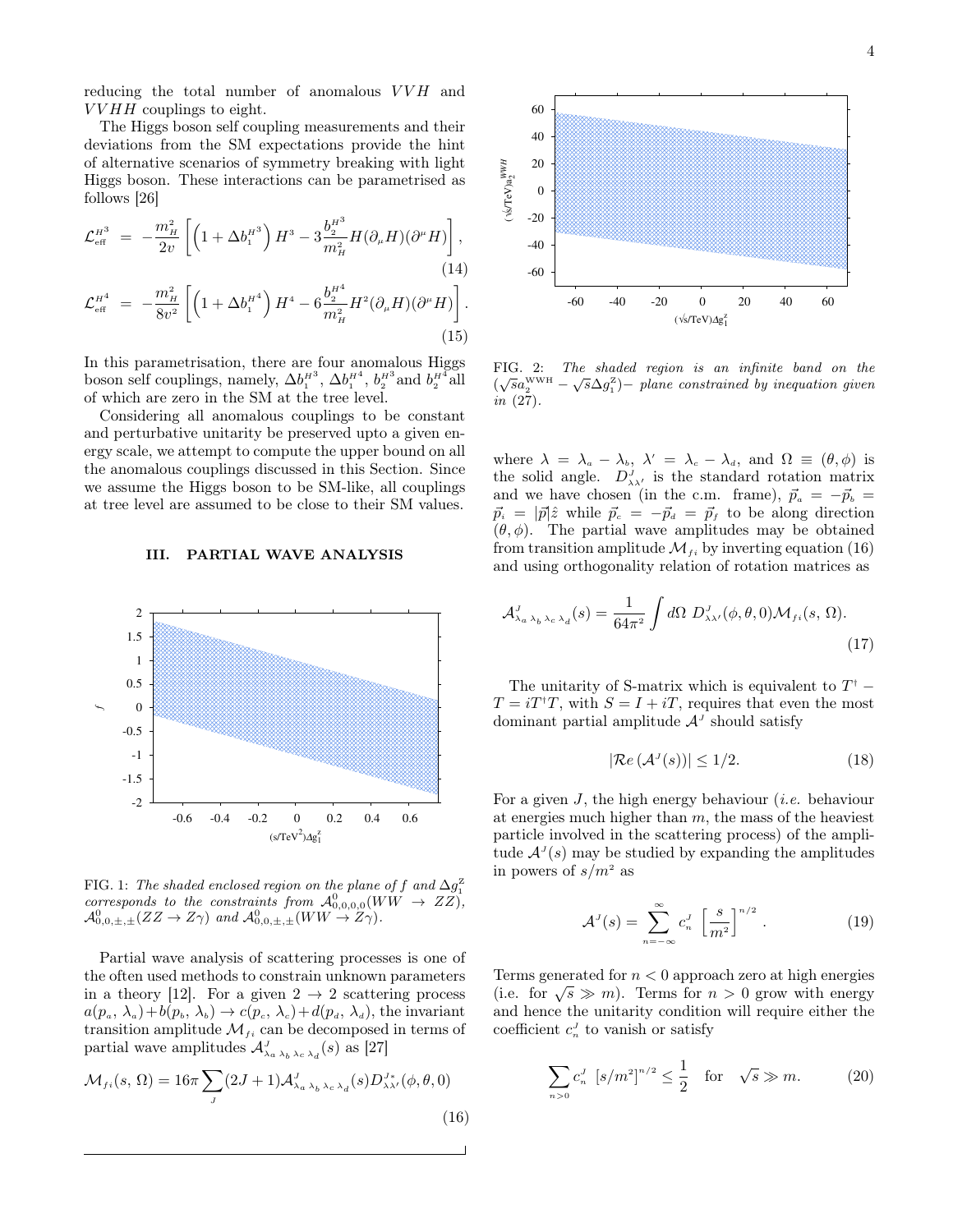reducing the total number of anomalous  $VVH\;$  and  $VVHH$  couplings to eight.

The Higgs boson self coupling measurements and their deviations from the SM expectations provide the hint of alternative scenarios of symmetry breaking with light Higgs boson. These interactions can be parametrised as follows [26]

$$
\mathcal{L}_{\text{eff}}^{H^3} = -\frac{m_H^2}{2v} \left[ \left( 1 + \Delta b_1^{H^3} \right) H^3 - 3 \frac{b_2^{H^3}}{m_H^2} H(\partial_\mu H)(\partial^\mu H) \right],
$$
\n(14)

$$
\mathcal{L}_{\text{eff}}^{H^4} = -\frac{m_H^2}{8v^2} \left[ \left( 1 + \Delta b_1^{H^4} \right) H^4 - 6 \frac{b_2^{H^4}}{m_H^2} H^2 (\partial_\mu H) (\partial^\mu H) \right].
$$
\n(15)

In this parametrisation, there are four anomalous Higgs boson self couplings, namely,  $\Delta b_1^{H^3}$ ,  $\Delta b_1^{H^4}$ ,  $b_2^{H^3}$  and  $b_2^{H^4}$  all of which are zero in the SM at the tree level.

Considering all anomalous couplings to be constant and perturbative unitarity be preserved upto a given energy scale, we attempt to compute the upper bound on all the anomalous couplings discussed in this Section. Since we assume the Higgs boson to be SM-like, all couplings at tree level are assumed to be close to their SM values.

#### III. PARTIAL WAVE ANALYSIS



FIG. 1: The shaded enclosed region on the plane of f and  $\Delta g_1^{\mathrm{Z}}$ corresponds to the constraints from  $\mathcal{A}_{0,0,0,0}^0(WW \rightarrow ZZ),$  $\mathcal{A}_{0,0,\pm,\pm}^0(ZZ \to Z\gamma)$  and  $\mathcal{A}_{0,0,\pm,\pm}^0(WW \to Z\gamma)$ .

Partial wave analysis of scattering processes is one of the often used methods to constrain unknown parameters in a theory [12]. For a given  $2 \rightarrow 2$  scattering process  $a(p_a, \lambda_a)+b(p_b, \lambda_b) \rightarrow c(p_c, \lambda_c)+d(p_a, \lambda_a)$ , the invariant transition amplitude  $\mathcal{M}_{fi}$  can be decomposed in terms of partial wave amplitudes  $\mathcal{A}_{\lambda_a \lambda_b \lambda_c \lambda_d}^J(s)$  as [27]

$$
\mathcal{M}_{fi}(s,\,\Omega) = 16\pi \sum_{J} (2J+1) \mathcal{A}_{\lambda_a\,\lambda_b\,\lambda_c\,\lambda_d}^{J}(s) D_{\lambda\lambda'}^{J*}(\phi,\theta,0)
$$
\n(16)



FIG. 2: The shaded region is an infinite band on the FIG. 2: The shaded region is an infinite oand on the  $(\sqrt{s}a_2^{\text{www}} - \sqrt{s}\Delta g_1^{\text{z}}) -$  plane constrained by inequation given  $in (27)$ .

(14) -60<br>
(15)<br>
(15)<br>
ggs FIG. 2:<br>
ant<br>
all  $(\sqrt{sa_2^{\text{ww}}} \text{ in } (27))$ .<br>
ant<br>
en-<br>
all where  $\lambda$ <br>
the solic and we<br>
ngs<br>
ngs<br>
es.<br>  $\vec{p}_i = |\vec{p}$ <br>  $(\theta, \phi)$ .<br>
from tra<br>
and usir<br>  $\mathcal{A}_{\lambda_a \lambda_b}^J$ .<br>
The u<br>
T =  $iT^{\dagger}$ <br>
dom where  $\lambda = \lambda_a - \lambda_b$ ,  $\lambda' = \lambda_c - \lambda_d$ , and  $\Omega \equiv (\theta, \phi)$  is the solid angle.  $D_{\lambda\lambda'}^J$  is the standard rotation matrix and we have chosen (in the c.m. frame),  $\vec{p}_a = -\vec{p}_b =$  $\vec{p}_i = |\vec{p}|\hat{z}$  while  $\vec{p}_c = -\vec{p}_d = \vec{p}_f$  to be along direction  $(\theta, \phi)$ . The partial wave amplitudes may be obtained from transition amplitude  $\mathcal{M}_{fi}$  by inverting equation (16) and using orthogonality relation of rotation matrices as

$$
\mathcal{A}_{\lambda_a \lambda_b \lambda_c \lambda_d}^J(s) = \frac{1}{64\pi^2} \int d\Omega \ D_{\lambda\lambda'}^J(\phi, \theta, 0) \mathcal{M}_{fi}(s, \Omega). \tag{17}
$$

The unitarity of S-matrix which is equivalent to  $T^{\dagger}$  –  $T = iT^{\dagger}T$ , with  $S = I + iT$ , requires that even the most dominant partial amplitude  $\mathcal{A}^J$  should satisfy

$$
|\mathcal{R}e(\mathcal{A}^J(s))| \le 1/2. \tag{18}
$$

For a given  $J$ , the high energy behaviour *(i.e.* behaviour at energies much higher than  $m$ , the mass of the heaviest particle involved in the scattering process) of the amplitude  $A<sup>J</sup>(s)$  may be studied by expanding the amplitudes in powers of  $s/m^2$  as

$$
\mathcal{A}^J(s) = \sum_{n=-\infty}^{\infty} c_n^J \left[ \frac{s}{m^2} \right]^{n/2} . \tag{19}
$$

Terms generated for  $n < 0$  approach zero at high energies Terms generated for  $n <$  0 approach zero at high energies<br>(i.e. for  $\sqrt{s} \gg m$ ). Terms for  $n > 0$  grow with energy and hence the unitarity condition will require either the coefficient  $c_n^J$  to vanish or satisfy

$$
\sum_{n>0} c_n^J \ [s/m^2]^{n/2} \le \frac{1}{2} \quad \text{for} \quad \sqrt{s} \gg m. \tag{20}
$$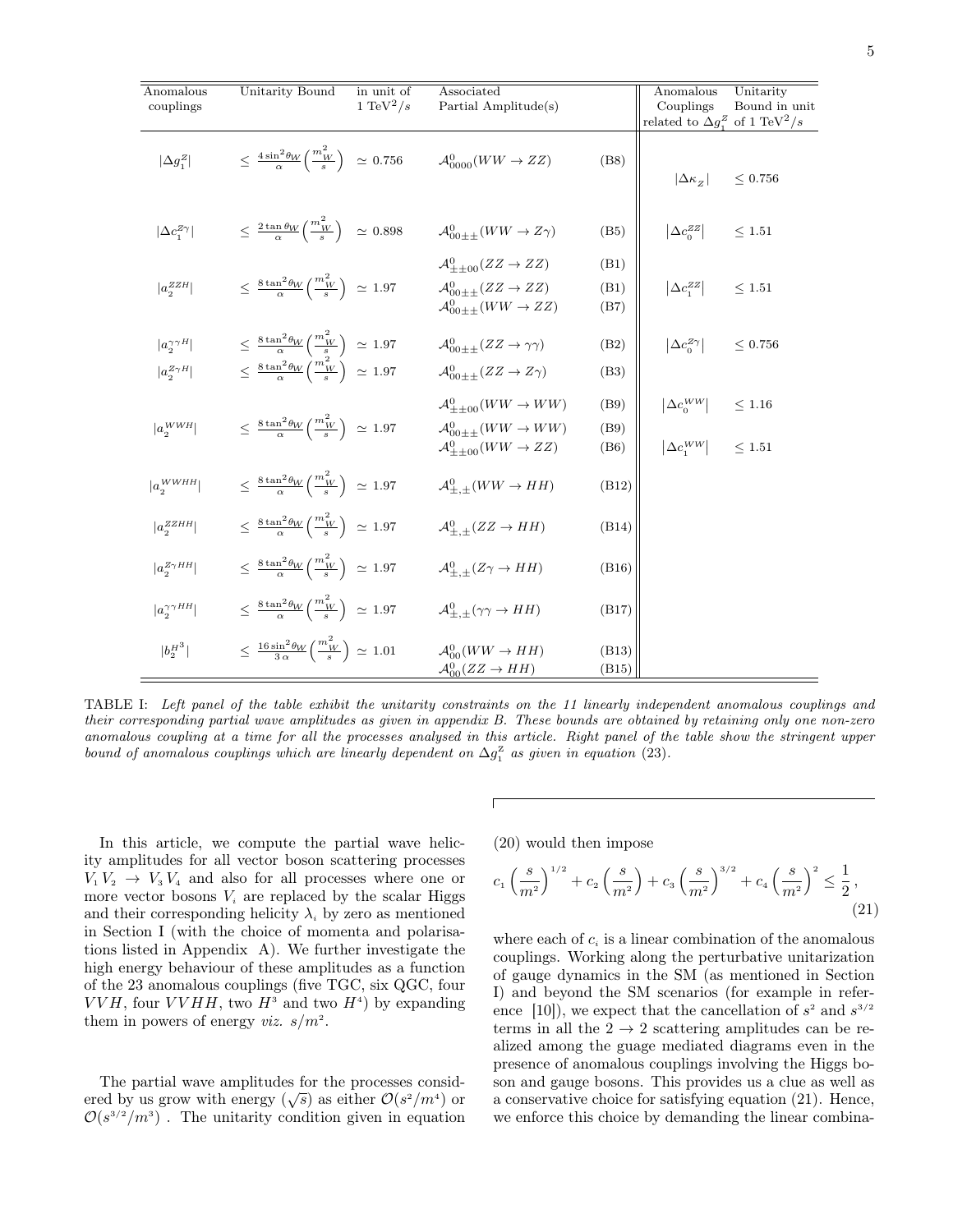| Anomalous                    | Unitarity Bound                                                                       | in unit of            | Associated                                                             |              | Anomalous                                                       | Unitarity     |
|------------------------------|---------------------------------------------------------------------------------------|-----------------------|------------------------------------------------------------------------|--------------|-----------------------------------------------------------------|---------------|
| couplings                    |                                                                                       | 1 TeV <sup>2</sup> /s | Partial Amplitude(s)                                                   |              | Couplings<br>related to $\Delta g_1^Z$ of 1 TeV <sup>2</sup> /s | Bound in unit |
| $ \Delta g_1^Z $             | $\leq \frac{4 \sin^2 \theta_W}{\alpha} \left( \frac{m_W^2}{s} \right) \approx 0.756$  |                       | $\mathcal{A}_{0000}^0(WW \to ZZ)$                                      | (B8)         | $ \Delta\kappa_{\scriptscriptstyle Z} $                         | ${}< 0.756$   |
| $ \Delta c_1^{Z\gamma} $     | $\leq \frac{2 \tan \theta_W}{\alpha} \left( \frac{m_W^2}{s} \right) \approx 0.898$    |                       | $\mathcal{A}_{00++}^0(WW \to Z\gamma)$                                 | (B5)         | $\left  \Delta c_0^{ZZ} \right $                                | $\leq$ 1.51   |
|                              |                                                                                       |                       | $\mathcal{A}_{++00}^0(ZZ \to ZZ)$                                      | (B1)         |                                                                 |               |
| $ a_2^{ZZH} $                | $\leq \frac{8\tan^2\theta_W}{\alpha}\left(\frac{m_W^2}{s}\right) \approx 1.97$        |                       | $\mathcal{A}_{00++}^0(ZZ \to ZZ)$<br>$\mathcal{A}_{00++}^0(WW \to ZZ)$ | (B1)<br>(B7) | $ \Delta c_1^{ZZ} $                                             | < 1.51        |
| $ a_{2}^{\gamma\gamma H} $   | $\leq \frac{8\tan^2\theta_W}{\alpha}\left(\frac{m_W^2}{s}\right) \approx 1.97$        |                       | $\mathcal{A}_{00++}^0(ZZ \to \gamma\gamma)$                            | (B2)         | $\left  \Delta c_0^{Z\gamma} \right $                           | ${}< 0.756$   |
| $ a_2^{Z\gamma H} $          | $\leq \frac{8\tan^2\theta_W}{\alpha}\left(\frac{m_W^2}{s}\right) \approx 1.97$        |                       | $\mathcal{A}_{00++}^0(ZZ \to Z\gamma)$                                 | (B3)         |                                                                 |               |
|                              |                                                                                       |                       | $\mathcal{A}_{\pm\pm00}^0(WW \rightarrow WW)$                          | (B9)         | $ \Delta c_0^{WW} $                                             | $\leq 1.16$   |
| $ a_2^{WWH} $                | $\leq \frac{8\tan^2\theta_W}{\alpha}\left(\frac{m_W^2}{s}\right) \approx 1.97$        |                       | $\mathcal{A}_{00++}^0(WW \rightarrow WW)$                              | (B9)         |                                                                 |               |
|                              |                                                                                       |                       | $\mathcal{A}_{\pm\pm00}^0(WW \rightarrow ZZ)$                          | (B6)         | $\left \Delta c_1^{WW}\right $                                  | < 1.51        |
| $ a_{\alpha}^{WWHH} $        | $\leq \frac{8\tan^2\theta_W}{\alpha} \left(\frac{m_W^2}{s}\right) \approx 1.97$       |                       | $\mathcal{A}^0_{+}$ + $(WW \rightarrow HH)$                            | (B12)        |                                                                 |               |
| $ a_{\alpha}^{ZZHH} $        | $\leq \frac{8\tan^2\theta_W}{\alpha}\left(\frac{m_W^2}{s}\right) \approx 1.97$        |                       | $\mathcal{A}^0_{++}(ZZ \to HH)$                                        | (B14)        |                                                                 |               |
| $ a_{\alpha}^{Z\gamma H H} $ | $\leq \frac{8\tan^2\theta_W}{\alpha}\left(\frac{m_W^2}{s}\right) \approx 1.97$        |                       | $\mathcal{A}^0_{+}$ + $(Z\gamma \rightarrow HH)$                       | (B16)        |                                                                 |               |
| $ a_2^{\gamma\gamma H H} $   | $\leq \frac{8\tan^2\theta_W}{\alpha}\left(\frac{m_W^2}{s}\right) \approx 1.97$        |                       | $\mathcal{A}^0_{+}$ + $(\gamma \gamma \rightarrow HH)$                 | (B17)        |                                                                 |               |
| $ b_2^{H^3} $                | $\leq \frac{16 \sin^2 \theta_W}{3 \alpha} \left( \frac{m_W^2}{s} \right) \simeq 1.01$ |                       | $\mathcal{A}_{00}^0(WW \to HH)$                                        | (B13)        |                                                                 |               |
|                              |                                                                                       |                       | $\mathcal{A}_{00}^0(ZZ \to HH)$                                        | (B15)        |                                                                 |               |

TABLE I: Left panel of the table exhibit the unitarity constraints on the 11 linearly independent anomalous couplings and their corresponding partial wave amplitudes as given in appendix B. These bounds are obtained by retaining only one non-zero anomalous coupling at a time for all the processes analysed in this article. Right panel of the table show the stringent upper bound of anomalous couplings which are linearly dependent on  $\Delta g_1^{\mathbb{Z}}$  as given in equation (23).

 $\sqrt{2}$ 

In this article, we compute the partial wave helicity amplitudes for all vector boson scattering processes  $V_1 V_2 \rightarrow V_3 V_4$  and also for all processes where one or more vector bosons  $V_i$  are replaced by the scalar Higgs and their corresponding helicity  $\lambda_i$  by zero as mentioned in Section I (with the choice of momenta and polarisations listed in Appendix A). We further investigate the high energy behaviour of these amplitudes as a function of the 23 anomalous couplings (five TGC, six QGC, four  $VVH$ , four  $VVHH$ , two  $H^3$  and two  $H^4$ ) by expanding them in powers of energy *viz.*  $s/m^2$ .

The partial wave amplitudes for the processes consid-The partial wave amplitudes for the processes considered by us grow with energy  $(\sqrt{s})$  as either  $\mathcal{O}(s^2/m^4)$  or  $\mathcal{O}(s^{3/2}/m^3)$ . The unitarity condition given in equation

(20) would then impose

$$
c_1 \left(\frac{s}{m^2}\right)^{1/2} + c_2 \left(\frac{s}{m^2}\right) + c_3 \left(\frac{s}{m^2}\right)^{3/2} + c_4 \left(\frac{s}{m^2}\right)^2 \le \frac{1}{2},\tag{21}
$$

where each of  $c_i$  is a linear combination of the anomalous couplings. Working along the perturbative unitarization of gauge dynamics in the SM (as mentioned in Section I) and beyond the SM scenarios (for example in reference [10]), we expect that the cancellation of  $s^2$  and  $s^{3/2}$ terms in all the  $2 \rightarrow 2$  scattering amplitudes can be realized among the guage mediated diagrams even in the presence of anomalous couplings involving the Higgs boson and gauge bosons. This provides us a clue as well as a conservative choice for satisfying equation (21). Hence, we enforce this choice by demanding the linear combina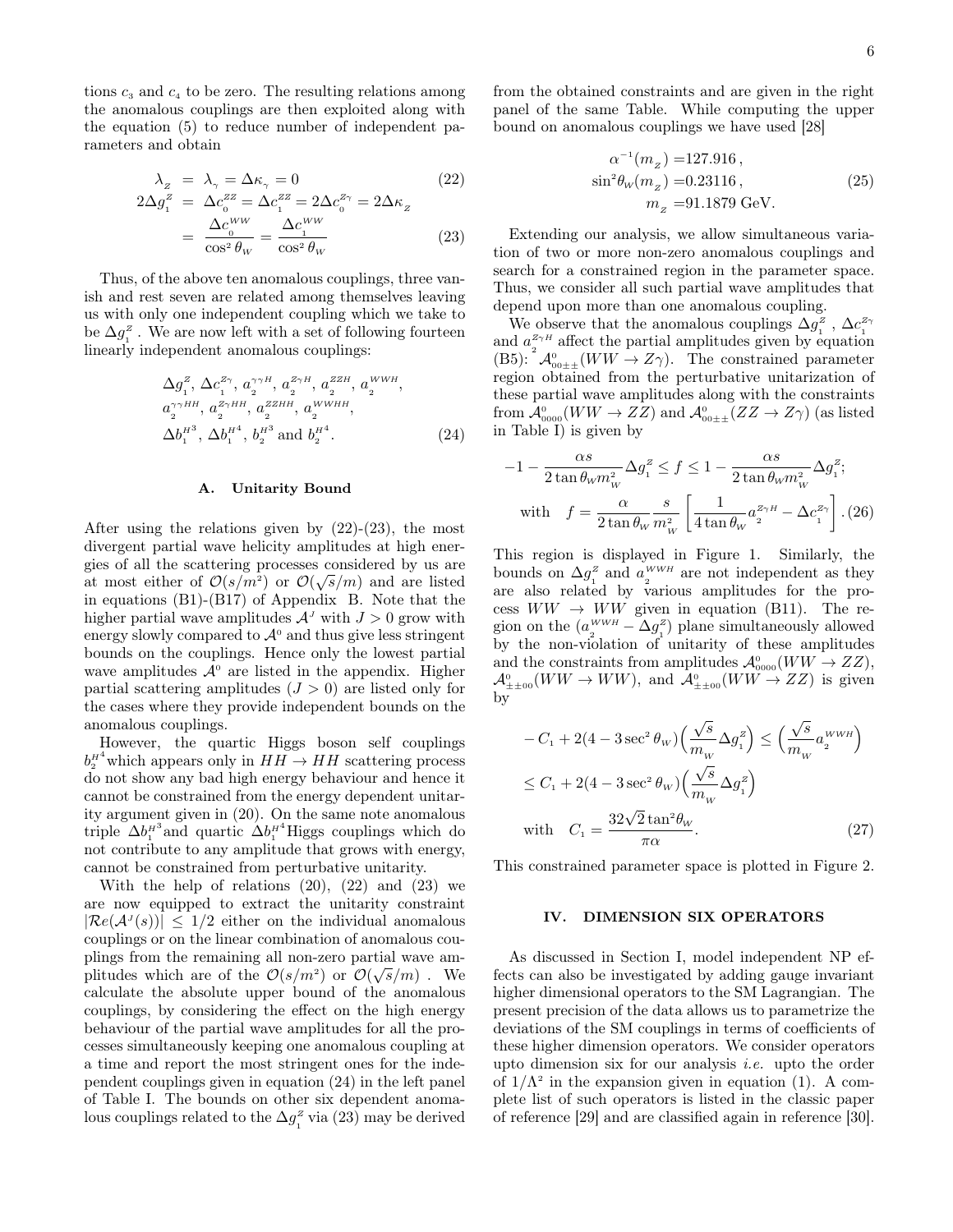tions  $c_3$  and  $c_4$  to be zero. The resulting relations among the anomalous couplings are then exploited along with the equation (5) to reduce number of independent parameters and obtain

$$
\lambda_z = \lambda_\gamma = \Delta \kappa_\gamma = 0 \tag{22}
$$
\n
$$
2\Delta g_1^z = \Delta c_0^{zz} = \Delta c_1^{zz} = 2\Delta c_0^{z\gamma} = 2\Delta \kappa_z
$$

$$
= \frac{\Delta c_0^{WW}}{\cos^2 \theta_W} = \frac{\Delta c_1^{WW}}{\cos^2 \theta_W} \tag{23}
$$

Thus, of the above ten anomalous couplings, three vanish and rest seven are related among themselves leaving us with only one independent coupling which we take to be  $\Delta g_1^z$ . We are now left with a set of following fourteen linearly independent anomalous couplings:

$$
\Delta g_1^z, \Delta c_1^{z\gamma}, a_2^{\gamma\gamma H}, a_2^{z\gamma H}, a_2^{z\gamma H}, a_2^{\text{WWH}},
$$
  
\n
$$
a_2^{\gamma\gamma H H}, a_2^{z\gamma H H}, a_2^{zzH}, a_2^{\text{WWHH}},
$$
  
\n
$$
\Delta b_1^{H^3}, \Delta b_1^{H^4}, b_2^{H^3} \text{ and } b_2^{H^4}.
$$
\n(24)

#### A. Unitarity Bound

After using the relations given by  $(22)-(23)$ , the most divergent partial wave helicity amplitudes at high energies of all the scattering processes considered by us are at most either of  $\mathcal{O}(s/m^2)$  or  $\mathcal{O}(\sqrt{s}/m)$  and are listed in equations (B1)-(B17) of Appendix B. Note that the higher partial wave amplitudes  $A<sup>J</sup>$  with  $J > 0$  grow with energy slowly compared to  $\mathcal{A}^0$  and thus give less stringent bounds on the couplings. Hence only the lowest partial wave amplitudes  $\mathcal{A}^0$  are listed in the appendix. Higher partial scattering amplitudes  $(J > 0)$  are listed only for the cases where they provide independent bounds on the anomalous couplings.

However, the quartic Higgs boson self couplings  $b_2^{\mu 4}$  which appears only in  $HH \to HH$  scattering process do not show any bad high energy behaviour and hence it cannot be constrained from the energy dependent unitarity argument given in (20). On the same note anomalous triple  $\Delta b_1^{\mu^3}$  and quartic  $\Delta b_1^{\mu^4}$  Higgs couplings which do not contribute to any amplitude that grows with energy, cannot be constrained from perturbative unitarity.

With the help of relations  $(20)$ ,  $(22)$  and  $(23)$  we are now equipped to extract the unitarity constraint  $|\mathcal{R}e(\mathcal{A}^J(s))| \leq 1/2$  either on the individual anomalous couplings or on the linear combination of anomalous couplings from the remaining all non-zero partial wave amplitudes which are of the  $\mathcal{O}(s/m^2)$  or  $\mathcal{O}(\sqrt{s}/m)$ . We calculate the absolute upper bound of the anomalous couplings, by considering the effect on the high energy behaviour of the partial wave amplitudes for all the processes simultaneously keeping one anomalous coupling at a time and report the most stringent ones for the independent couplings given in equation (24) in the left panel of Table I. The bounds on other six dependent anomalous couplings related to the  $\Delta g_1^z$  via (23) may be derived

from the obtained constraints and are given in the right panel of the same Table. While computing the upper bound on anomalous couplings we have used [28]

$$
\alpha^{-1}(m_z) = 127.916 ,
$$
  
\n
$$
\sin^2 \theta_W(m_z) = 0.23116 ,
$$
  
\n
$$
m_z = 91.1879 \text{ GeV} .
$$
\n(25)

Extending our analysis, we allow simultaneous variation of two or more non-zero anomalous couplings and search for a constrained region in the parameter space. Thus, we consider all such partial wave amplitudes that depend upon more than one anomalous coupling.

We observe that the anomalous couplings  $\Delta g^z$ ,  $\Delta c^{z_{\gamma}}$ and  $a_2^{z_7H}$  affect the partial amplitudes given by equation  $(B5): \mathcal{A}_{00\pm\pm}^{0}(WW \to Z\gamma)$ . The constrained parameter region obtained from the perturbative unitarization of these partial wave amplitudes along with the constraints  $\mathrm{from}~\mathcal{A}^0_{0000}(WW\to ZZ)~\mathrm{and}~\mathcal{A}^0_{00\pm\pm}(ZZ\to Z\gamma)~\mathrm{(as~listed)}$ in Table I) is given by

$$
-1 - \frac{\alpha s}{2 \tan \theta_W m_{_W}^2} \Delta g_1^z \le f \le 1 - \frac{\alpha s}{2 \tan \theta_W m_{_W}^2} \Delta g_1^z;
$$
  
with 
$$
f = \frac{\alpha}{2 \tan \theta_W m_{_W}^2} \left[ \frac{1}{4 \tan \theta_W} a_2^{z_{\gamma H}} - \Delta c_1^{z_{\gamma}} \right]. (26)
$$

This region is displayed in Figure 1. Similarly, the bounds on  $\Delta g_1^z$  and  $a_2^{WWH}$  are not independent as they are also related by various amplitudes for the process  $WW \rightarrow WW$  given in equation (B11). The region on the  $(a_2^{WWH} - \Delta g_1^z)$  plane simultaneously allowed by the non-violation of unitarity of these amplitudes and the constraints from amplitudes  $\mathcal{A}_{0000}^0(WW \to ZZ)$ ,  ${\cal A}^0_{\pm\pm00}(WW\to WW),$  and  ${\cal A}^0_{\pm\pm00}(WW\to ZZ)$  is given by

$$
-C_1 + 2(4 - 3\sec^2\theta_W) \left(\frac{\sqrt{s}}{m_w} \Delta g_1^z\right) \le \left(\frac{\sqrt{s}}{m_w} a_2^{WWH}\right)
$$
  

$$
\le C_1 + 2(4 - 3\sec^2\theta_W) \left(\frac{\sqrt{s}}{m_w} \Delta g_1^z\right)
$$
  
with 
$$
C_1 = \frac{32\sqrt{2}\tan^2\theta_W}{\pi\alpha}.
$$
 (27)

This constrained parameter space is plotted in Figure 2.

### IV. DIMENSION SIX OPERATORS

As discussed in Section I, model independent NP effects can also be investigated by adding gauge invariant higher dimensional operators to the SM Lagrangian. The present precision of the data allows us to parametrize the deviations of the SM couplings in terms of coefficients of these higher dimension operators. We consider operators upto dimension six for our analysis *i.e.* upto the order of  $1/\Lambda^2$  in the expansion given in equation (1). A complete list of such operators is listed in the classic paper of reference [29] and are classified again in reference [30].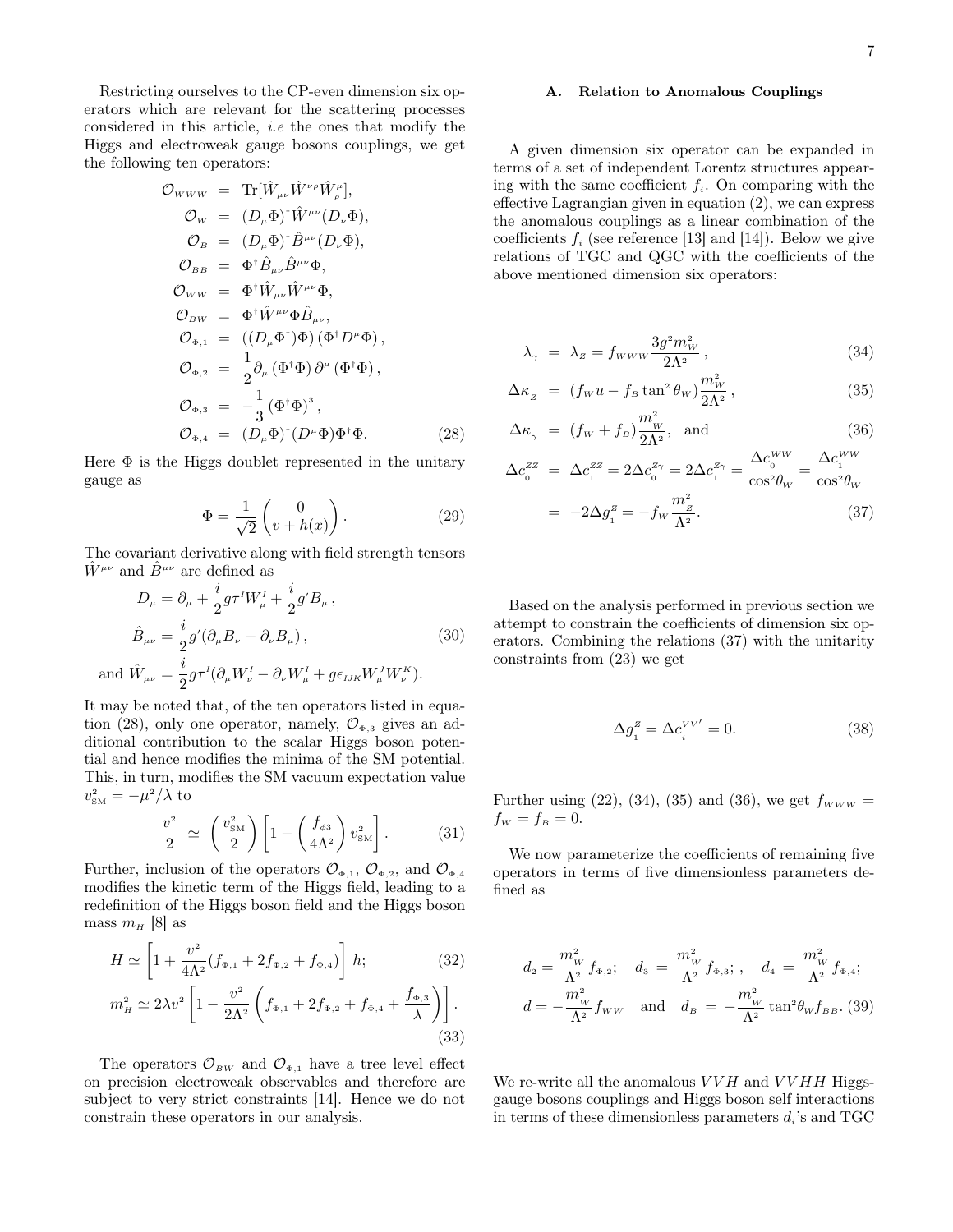Restricting ourselves to the CP-even dimension six operators which are relevant for the scattering processes considered in this article, i.e the ones that modify the Higgs and electroweak gauge bosons couplings, we get the following ten operators:

$$
\mathcal{O}_{WWW} = \text{Tr}[\hat{W}_{\mu\nu}\hat{W}^{\nu\rho}\hat{W}_{\rho}^{\mu}],
$$
  
\n
$$
\mathcal{O}_{W} = (D_{\mu}\Phi)^{\dagger}\hat{W}^{\mu\nu}(D_{\nu}\Phi),
$$
  
\n
$$
\mathcal{O}_{B} = (D_{\mu}\Phi)^{\dagger}\hat{B}^{\mu\nu}(D_{\nu}\Phi),
$$
  
\n
$$
\mathcal{O}_{BB} = \Phi^{\dagger}\hat{B}_{\mu\nu}\hat{B}^{\mu\nu}\Phi,
$$
  
\n
$$
\mathcal{O}_{WW} = \Phi^{\dagger}\hat{W}_{\mu\nu}\hat{W}^{\mu\nu}\Phi,
$$
  
\n
$$
\mathcal{O}_{BW} = \Phi^{\dagger}\hat{W}^{\mu\nu}\Phi\hat{B}_{\mu\nu},
$$
  
\n
$$
\mathcal{O}_{\Phi,1} = ((D_{\mu}\Phi^{\dagger})\Phi)(\Phi^{\dagger}D^{\mu}\Phi),
$$
  
\n
$$
\mathcal{O}_{\Phi,2} = \frac{1}{2}\partial_{\mu}(\Phi^{\dagger}\Phi)\partial^{\mu}(\Phi^{\dagger}\Phi),
$$
  
\n
$$
\mathcal{O}_{\Phi,3} = -\frac{1}{3}(\Phi^{\dagger}\Phi)^{3},
$$
  
\n
$$
\mathcal{O}_{\Phi,4} = (D_{\mu}\Phi)^{\dagger}(D^{\mu}\Phi)\Phi^{\dagger}\Phi.
$$
  
\n(28)

Here  $\Phi$  is the Higgs doublet represented in the unitary gauge as

$$
\Phi = \frac{1}{\sqrt{2}} \begin{pmatrix} 0 \\ v + h(x) \end{pmatrix} . \tag{29}
$$

The covariant derivative along with field strength tensors  $\hat{W}^{\mu\nu}$  and  $\hat{B}^{\mu\nu}$  are defined as

$$
D_{\mu} = \partial_{\mu} + \frac{i}{2} g \tau^{I} W_{\mu}^{I} + \frac{i}{2} g^{J} B_{\mu} ,
$$
  
\n
$$
\hat{B}_{\mu\nu} = \frac{i}{2} g^{\prime} (\partial_{\mu} B_{\nu} - \partial_{\nu} B_{\mu}) ,
$$
  
\nand 
$$
\hat{W}_{\mu\nu} = \frac{i}{2} g \tau^{I} (\partial_{\mu} W_{\nu}^{I} - \partial_{\nu} W_{\mu}^{I} + g \epsilon_{IJK} W_{\mu}^{J} W_{\nu}^{K}).
$$
\n(30)

It may be noted that, of the ten operators listed in equation (28), only one operator, namely,  $\mathcal{O}_{\Phi,3}$  gives an additional contribution to the scalar Higgs boson potential and hence modifies the minima of the SM potential. This, in turn, modifies the SM vacuum expectation value  $v_{\text{\tiny SM}}^2 = -\mu^2/\lambda$  to

a.

$$
\frac{v^2}{2} \simeq \left(\frac{v_{\rm SM}^2}{2}\right) \left[1 - \left(\frac{f_{\phi 3}}{4\Lambda^2}\right) v_{\rm SM}^2\right]. \tag{31}
$$

Further, inclusion of the operators  $\mathcal{O}_{\Phi,1}$ ,  $\mathcal{O}_{\Phi,2}$ , and  $\mathcal{O}_{\Phi,4}$ modifies the kinetic term of the Higgs field, leading to a redefinition of the Higgs boson field and the Higgs boson mass  $m_H$  [8] as

$$
H \simeq \left[1 + \frac{v^2}{4\Lambda^2} (f_{\Phi,1} + 2f_{\Phi,2} + f_{\Phi,4})\right] h; \tag{32}
$$

$$
m_H^2 \simeq 2\lambda v^2 \left[ 1 - \frac{v^2}{2\Lambda^2} \left( f_{\Phi,1} + 2f_{\Phi,2} + f_{\Phi,4} + \frac{f_{\Phi,3}}{\lambda} \right) \right].
$$
\n(33)

The operators  $\mathcal{O}_{BW}$  and  $\mathcal{O}_{\Phi,1}$  have a tree level effect on precision electroweak observables and therefore are subject to very strict constraints [14]. Hence we do not constrain these operators in our analysis.

### A. Relation to Anomalous Couplings

A given dimension six operator can be expanded in terms of a set of independent Lorentz structures appearing with the same coefficient  $f_i$ . On comparing with the effective Lagrangian given in equation (2), we can express the anomalous couplings as a linear combination of the coefficients  $f_i$  (see reference [13] and [14]). Below we give relations of TGC and QGC with the coefficients of the above mentioned dimension six operators:

$$
\lambda_{\gamma} = \lambda_{z} = f_{WWW} \frac{3g^{2}m_{W}^{2}}{2\Lambda^{2}}, \qquad (34)
$$

$$
\Delta \kappa_z = (f_w u - f_B \tan^2 \theta_w) \frac{m_w^2}{2\Lambda^2}, \qquad (35)
$$

$$
\Delta \kappa_{\gamma} = (f_W + f_B) \frac{m_W^2}{2\Lambda^2}, \text{ and } (36)
$$

$$
\Delta c_0^{zz} = \Delta c_1^{zz} = 2\Delta c_0^{z_{\gamma}} = 2\Delta c_1^{z_{\gamma}} = \frac{\Delta c_0^{ww}}{\cos^2 \theta_w} = \frac{\Delta c_1^{ww}}{\cos^2 \theta_w} \n= -2\Delta g_1^z = -f_w \frac{m_z^2}{\Lambda^2}.
$$
\n(37)

Based on the analysis performed in previous section we attempt to constrain the coefficients of dimension six operators. Combining the relations (37) with the unitarity constraints from (23) we get

$$
\Delta g_i^z = \Delta c_i^{VV'} = 0. \tag{38}
$$

Further using (22), (34), (35) and (36), we get  $f_{WWW} =$  $f_W = f_B = 0.$ 

We now parameterize the coefficients of remaining five operators in terms of five dimensionless parameters defined as

$$
d_2 = \frac{m_W^2}{\Lambda^2} f_{\Phi,2}; \quad d_3 = \frac{m_W^2}{\Lambda^2} f_{\Phi,3}; \quad d_4 = \frac{m_W^2}{\Lambda^2} f_{\Phi,4};
$$
  

$$
d = -\frac{m_W^2}{\Lambda^2} f_{WW} \quad \text{and} \quad d_B = -\frac{m_W^2}{\Lambda^2} \tan^2 \theta_W f_{BB}. \tag{39}
$$

We re-write all the anomalous  $VVH$  and  $VVHH$  Higgsgauge bosons couplings and Higgs boson self interactions in terms of these dimensionless parameters  $d_i$ 's and TGC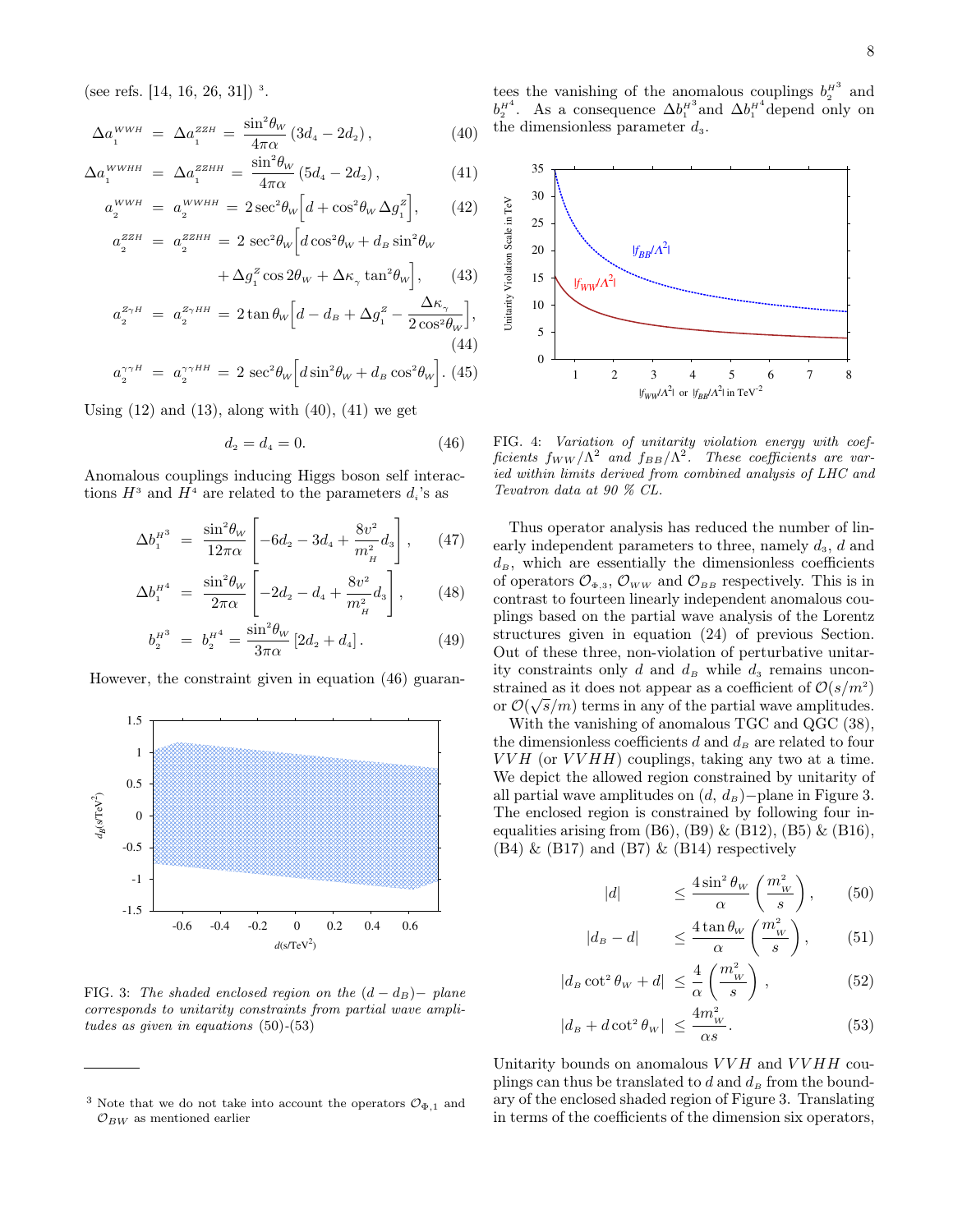(see refs.  $[14, 16, 26, 31]$ )<sup>3</sup>.

$$
\Delta a_1^{WWH} = \Delta a_1^{ZZH} = \frac{\sin^2 \theta_W}{4\pi \alpha} (3d_4 - 2d_2), \tag{40}
$$

$$
\Delta a_1^{WWHH} = \Delta a_1^{ZZHH} = \frac{\sin^2 \theta_W}{4\pi \alpha} (5d_4 - 2d_2), \tag{41}
$$

$$
a_2^{WWH} = a_2^{WWHH} = 2\sec^2\theta_W \Big[ d + \cos^2\theta_W \Delta g_1^Z \Big], \qquad (42)
$$

$$
a^{ZZH} = a^{ZZHH} - 2\sec^2\theta_W \Big[ d\cos^2\theta_W + d - \sin^2\theta_W \Big]
$$

$$
a_2^{ZZH} = a_2^{ZZHH} = 2 \sec^2 \theta_W \left[ d \cos^2 \theta_W + d_B \sin^2 \theta_W \right. \left. + \Delta g_1^Z \cos 2\theta_W + \Delta \kappa_\gamma \tan^2 \theta_W \right], \qquad (43)
$$
\n
$$
a_2^{Z\gamma H} = a_2^{Z\gamma HH} = 2 \tan \theta_W \left[ d - d_B + \Delta g_1^Z - \frac{\Delta \kappa_\gamma}{2 \cos^2 \theta_W} \right], \qquad (44)
$$

$$
a_2^{\gamma \gamma H} = a_2^{\gamma \gamma H H} = 2 \sec^2 \theta_W \Big[ d \sin^2 \theta_W + d_B \cos^2 \theta_W \Big]. \tag{45}
$$

Using  $(12)$  and  $(13)$ , along with  $(40)$ ,  $(41)$  we get

$$
d_2 = d_4 = 0.\t\t(46)
$$

Anomalous couplings inducing Higgs boson self interactions  $H^3$  and  $H^4$  are related to the parameters  $d_i$ 's as

$$
\Delta b_1^{H^3} = \frac{\sin^2 \theta_W}{12\pi \alpha} \left[ -6d_2 - 3d_4 + \frac{8v^2}{m_H^2} d_3 \right], \quad (47)
$$

$$
\Delta b_1^{H^4} = \frac{\sin^2 \theta_W}{2\pi \alpha} \left[ -2d_2 - d_4 + \frac{8v^2}{m_H^2} d_3 \right], \qquad (48)
$$

$$
b_2^{H^3} = b_2^{H^4} = \frac{\sin^2 \theta_W}{3\pi \alpha} [2d_2 + d_4]. \tag{49}
$$

However, the constraint given in equation (46) guaran-



FIG. 3: The shaded enclosed region on the  $(d - d) - p$ lane corresponds to unitarity constraints from partial wave amplitudes as given in equations (50)-(53)

tees the vanishing of the anomalous couplings  $b_2^{\mu^3}$  and  $b_2^{\mu^4}$ . As a consequence  $\Delta b_1^{\mu^3}$  and  $\Delta b_1^{\mu^4}$  depend only on the dimensionless parameter  $d_3$ .



FIG. 4: Variation of unitarity violation energy with coefficients  $f_{WW}/\Lambda^2$  and  $f_{BB}/\Lambda^2$ . These coefficients are varied within limits derived from combined analysis of LHC and Tevatron data at 90 % CL.

Thus operator analysis has reduced the number of linearly independent parameters to three, namely  $d_3$ , d and  $d_B$ , which are essentially the dimensionless coefficients of operators  $\mathcal{O}_{\Phi,3}$ ,  $\mathcal{O}_{WW}$  and  $\mathcal{O}_{BB}$  respectively. This is in contrast to fourteen linearly independent anomalous couplings based on the partial wave analysis of the Lorentz structures given in equation (24) of previous Section. Out of these three, non-violation of perturbative unitarity constraints only  $d$  and  $d_B$  while  $d_3$  remains unconstrained as it does not appear as a coefficient of  $\mathcal{O}(s/m^2)$ or  $\mathcal{O}(\sqrt{s}/m)$  terms in any of the partial wave amplitudes.

With the vanishing of anomalous TGC and QGC (38), the dimensionless coefficients  $d$  and  $d_B$  are related to four  $VVH$  (or  $VVHH$ ) couplings, taking any two at a time. We depict the allowed region constrained by unitarity of all partial wave amplitudes on  $(d, d_B)$ −plane in Figure 3. The enclosed region is constrained by following four inequalities arising from  $(B6)$ ,  $(B9)$  &  $(B12)$ ,  $(B5)$  &  $(B16)$ ,  $(B4)$  &  $(B17)$  and  $(B7)$  &  $(B14)$  respectively

$$
|d| \qquad \leq \frac{4\sin^2\theta_W}{\alpha} \left(\frac{m_W^2}{s}\right),\qquad(50)
$$

$$
|d_B - d| \leq \frac{4 \tan \theta_W}{\alpha} \left( \frac{m_W^2}{s} \right), \quad (51)
$$

$$
|d_B \cot^2 \theta_W + d| \le \frac{4}{\alpha} \left( \frac{m_W^2}{s} \right), \tag{52}
$$

$$
|d_B + d \cot^2 \theta_W| \le \frac{4m_W^2}{\alpha s}.
$$
 (53)

Unitarity bounds on anomalous  $VVH$  and  $VVHH$  couplings can thus be translated to  $d$  and  $d_B$  from the boundary of the enclosed shaded region of Figure 3. Translating in terms of the coefficients of the dimension six operators,

<sup>&</sup>lt;sup>3</sup> Note that we do not take into account the operators  $\mathcal{O}_{\Phi,1}$  and  $\mathcal{O}_{BW}$  as mentioned earlier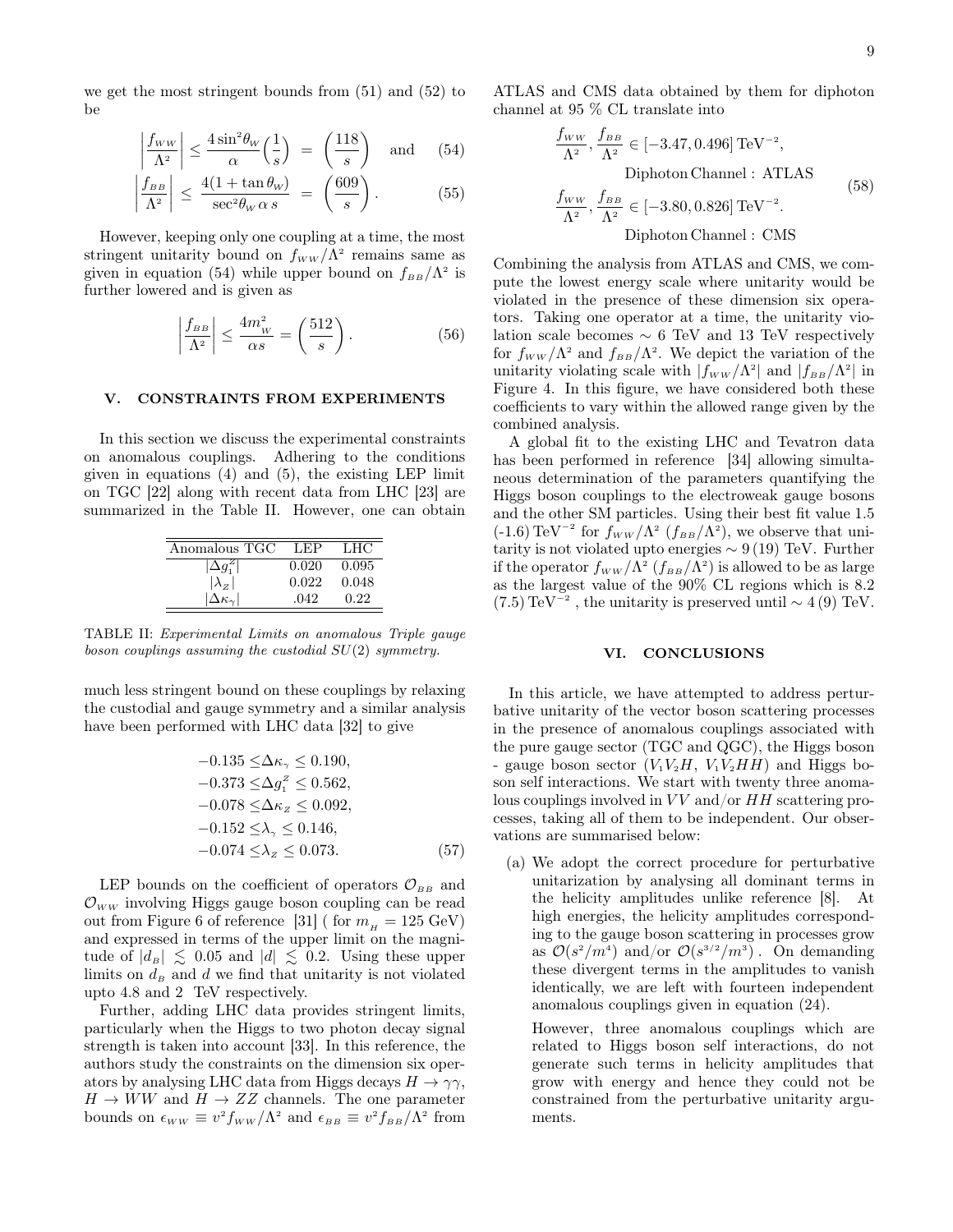we get the most stringent bounds from (51) and (52) to be

$$
\left|\frac{f_{WW}}{\Lambda^2}\right| \le \frac{4\sin^2\theta_W}{\alpha} \left(\frac{1}{s}\right) = \left(\frac{118}{s}\right) \quad \text{and} \quad (54)
$$

$$
\left|\frac{f_{BB}}{\Lambda^2}\right| \le \frac{4(1 + \tan \theta_w)}{\sec^2 \theta_w \alpha s} = \left(\frac{609}{s}\right). \tag{55}
$$

However, keeping only one coupling at a time, the most stringent unitarity bound on  $f_{WW}/\Lambda^2$  remains same as given in equation (54) while upper bound on  $f_{BB}/\Lambda^2$  is further lowered and is given as

$$
\left|\frac{f_{BB}}{\Lambda^2}\right| \le \frac{4m_W^2}{\alpha s} = \left(\frac{512}{s}\right). \tag{56}
$$

#### V. CONSTRAINTS FROM EXPERIMENTS

In this section we discuss the experimental constraints on anomalous couplings. Adhering to the conditions given in equations (4) and (5), the existing LEP limit on TGC [22] along with recent data from LHC [23] are summarized in the Table II. However, one can obtain

| Anomalous TGC | LEP   | LHC   |
|---------------|-------|-------|
|               | 0.020 | 0.095 |
| $\lambda_z$   | 0.022 | 0.048 |
|               | .042  | Ո 22  |

TABLE II: Experimental Limits on anomalous Triple gauge boson couplings assuming the custodial SU(2) symmetry.

much less stringent bound on these couplings by relaxing the custodial and gauge symmetry and a similar analysis have been performed with LHC data [32] to give

$$
-0.135 \leq \Delta \kappa_{\gamma} \leq 0.190,-0.373 \leq \Delta g_1^z \leq 0.562,-0.078 \leq \Delta \kappa_z \leq 0.092,-0.152 \leq \lambda_{\gamma} \leq 0.146,-0.074 \leq \lambda_z \leq 0.073.
$$
 (57)

LEP bounds on the coefficient of operators  $\mathcal{O}_{BB}$  and  $\mathcal{O}_{WW}$  involving Higgs gauge boson coupling can be read out from Figure 6 of reference [31] ( for  $m_\mu = 125 \text{ GeV}$ ) and expressed in terms of the upper limit on the magnitude of  $|d_B| \lesssim 0.05$  and  $|d| \lesssim 0.2$ . Using these upper limits on  $d_B$  and d we find that unitarity is not violated upto 4.8 and 2 TeV respectively.

Further, adding LHC data provides stringent limits, particularly when the Higgs to two photon decay signal strength is taken into account [33]. In this reference, the authors study the constraints on the dimension six operators by analysing LHC data from Higgs decays  $H \to \gamma \gamma$ ,  $H \to WW$  and  $H \to ZZ$  channels. The one parameter bounds on  $\epsilon_{WW} \equiv v^2 f_{WW}/\Lambda^2$  and  $\epsilon_{BB} \equiv v^2 f_{BB}/\Lambda^2$  from ATLAS and CMS data obtained by them for diphoton channel at 95 % CL translate into

$$
\frac{f_{WW}}{\Lambda^2}, \frac{f_{BB}}{\Lambda^2} \in [-3.47, 0.496] \text{ TeV}^{-2},
$$
  
Diphoton Channel : ATLAS  

$$
\frac{f_{WW}}{\Lambda^2}, \frac{f_{BB}}{\Lambda^2} \in [-3.80, 0.826] \text{ TeV}^{-2}.
$$
  
Diphoton Channel : CMS

Combining the analysis from ATLAS and CMS, we compute the lowest energy scale where unitarity would be violated in the presence of these dimension six operators. Taking one operator at a time, the unitarity violation scale becomes  $\sim 6$  TeV and 13 TeV respectively for  $f_{WW}/\Lambda^2$  and  $f_{BB}/\Lambda^2$ . We depict the variation of the unitarity violating scale with  $|f_{WW}/\Lambda^2|$  and  $|f_{BB}/\Lambda^2|$  in Figure 4. In this figure, we have considered both these coefficients to vary within the allowed range given by the combined analysis.

A global fit to the existing LHC and Tevatron data has been performed in reference [34] allowing simultaneous determination of the parameters quantifying the Higgs boson couplings to the electroweak gauge bosons and the other SM particles. Using their best fit value 1.5  $(-1.6) \text{ TeV}^{-2}$  for  $f_{WW}/\Lambda^2$   $(f_{BB}/\Lambda^2)$ , we observe that unitarity is not violated upto energies ∼ 9 (19) TeV. Further if the operator  $f_{WW}/\Lambda^2$   $(f_{BB}/\Lambda^2)$  is allowed to be as large as the largest value of the 90% CL regions which is 8.2  $(7.5)$  TeV<sup>-2</sup>, the unitarity is preserved until  $\sim 4(9)$  TeV.

#### VI. CONCLUSIONS

In this article, we have attempted to address perturbative unitarity of the vector boson scattering processes in the presence of anomalous couplings associated with the pure gauge sector (TGC and QGC), the Higgs boson - gauge boson sector  $(V_1V_2H, V_1V_2HH)$  and Higgs boson self interactions. We start with twenty three anomalous couplings involved in  $VV$  and/or  $HH$  scattering processes, taking all of them to be independent. Our observations are summarised below:

(a) We adopt the correct procedure for perturbative unitarization by analysing all dominant terms in the helicity amplitudes unlike reference [8]. At high energies, the helicity amplitudes corresponding to the gauge boson scattering in processes grow as  $\mathcal{O}(s^2/m^4)$  and/or  $\mathcal{O}(s^{3/2}/m^3)$ . On demanding these divergent terms in the amplitudes to vanish identically, we are left with fourteen independent anomalous couplings given in equation (24).

However, three anomalous couplings which are related to Higgs boson self interactions, do not generate such terms in helicity amplitudes that grow with energy and hence they could not be constrained from the perturbative unitarity arguments.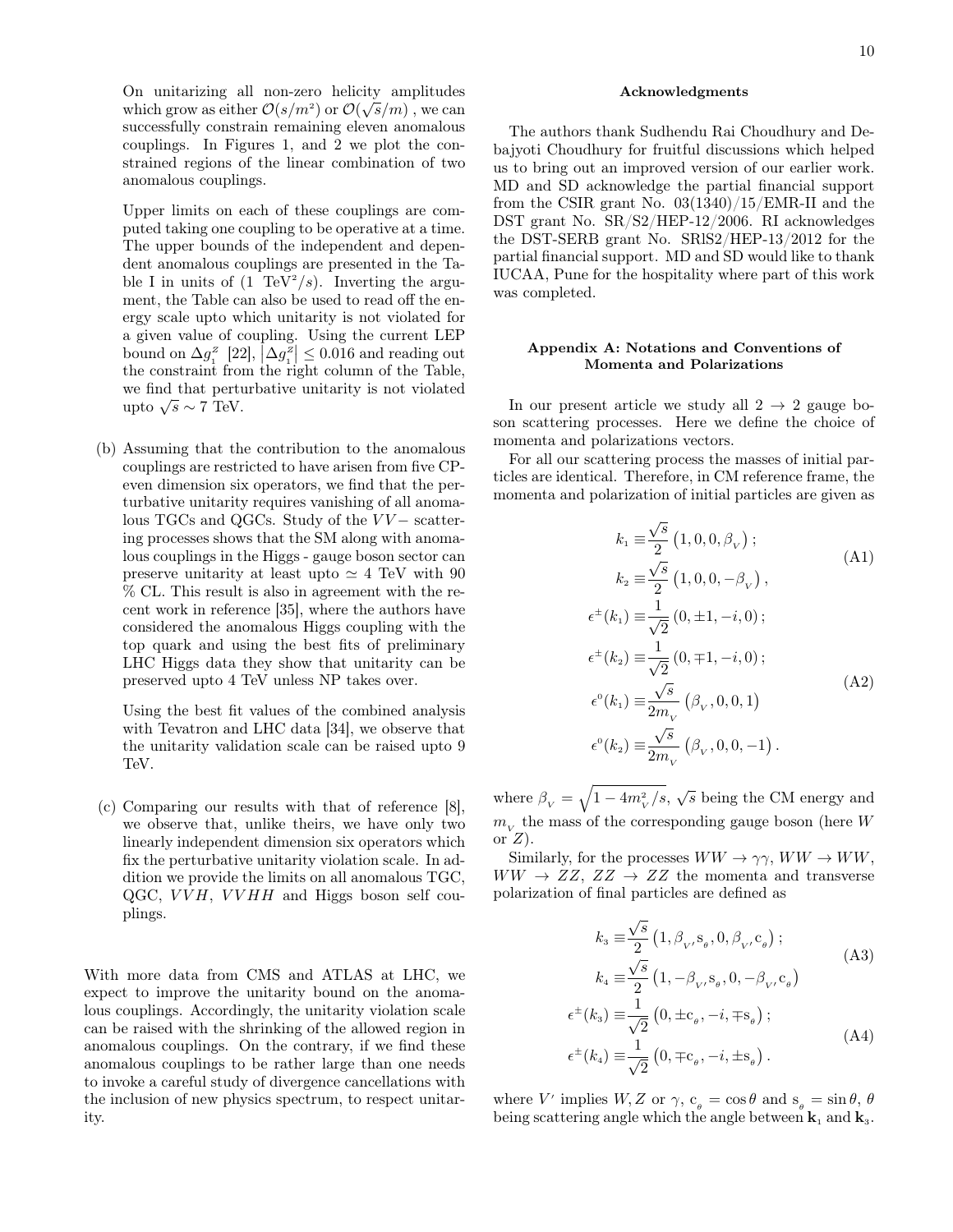On unitarizing all non-zero helicity amplitudes which grow as either  $\mathcal{O}(s/m^2)$  or  $\mathcal{O}(\sqrt{s}/m)$ , we can successfully constrain remaining eleven anomalous couplings. In Figures 1, and 2 we plot the constrained regions of the linear combination of two anomalous couplings.

Upper limits on each of these couplings are computed taking one coupling to be operative at a time. The upper bounds of the independent and dependent anomalous couplings are presented in the Table I in units of  $(1 \text{ TeV}^2/s)$ . Inverting the argument, the Table can also be used to read off the energy scale upto which unitarity is not violated for a given value of coupling. Using the current LEP bound on  $\Delta g_i^z$  [22],  $\Delta g_i^z$ ]  $\leq 0.016$  and reading out the constraint from the right column of the Table, we find that perturbative unitarity is not violated we nnd that perture<br>upto  $\sqrt{s} \sim 7$  TeV.

(b) Assuming that the contribution to the anomalous couplings are restricted to have arisen from five CPeven dimension six operators, we find that the perturbative unitarity requires vanishing of all anomalous TGCs and QGCs. Study of the  $VV-$  scattering processes shows that the SM along with anomalous couplings in the Higgs - gauge boson sector can preserve unitarity at least upto  $\simeq 4$  TeV with 90 % CL. This result is also in agreement with the recent work in reference [35], where the authors have considered the anomalous Higgs coupling with the top quark and using the best fits of preliminary LHC Higgs data they show that unitarity can be preserved upto 4 TeV unless NP takes over.

Using the best fit values of the combined analysis with Tevatron and LHC data [34], we observe that the unitarity validation scale can be raised upto 9 TeV.

(c) Comparing our results with that of reference [8], we observe that, unlike theirs, we have only two linearly independent dimension six operators which fix the perturbative unitarity violation scale. In addition we provide the limits on all anomalous TGC, QGC,  $VVH$ ,  $VVHH$  and Higgs boson self couplings.

With more data from CMS and ATLAS at LHC, we expect to improve the unitarity bound on the anomalous couplings. Accordingly, the unitarity violation scale can be raised with the shrinking of the allowed region in anomalous couplings. On the contrary, if we find these anomalous couplings to be rather large than one needs to invoke a careful study of divergence cancellations with the inclusion of new physics spectrum, to respect unitarity.

#### Acknowledgments

The authors thank Sudhendu Rai Choudhury and Debajyoti Choudhury for fruitful discussions which helped us to bring out an improved version of our earlier work. MD and SD acknowledge the partial financial support from the CSIR grant No. 03(1340)/15/EMR-II and the DST grant No. SR/S2/HEP-12/2006. RI acknowledges the DST-SERB grant No. SRlS2/HEP-13/2012 for the partial financial support. MD and SD would like to thank IUCAA, Pune for the hospitality where part of this work was completed.

## Appendix A: Notations and Conventions of Momenta and Polarizations

In our present article we study all  $2 \rightarrow 2$  gauge boson scattering processes. Here we define the choice of momenta and polarizations vectors.

For all our scattering process the masses of initial particles are identical. Therefore, in CM reference frame, the momenta and polarization of initial particles are given as

$$
k_1 \equiv \frac{\sqrt{s}}{2} (1, 0, 0, \beta_V);
$$
\n
$$
k_2 \equiv \frac{\sqrt{s}}{2} (1, 0, 0, -\beta_V),
$$
\n
$$
\epsilon^{\pm}(k_1) \equiv \frac{1}{\sqrt{2}} (0, \pm 1, -i, 0);
$$
\n
$$
\epsilon^{\pm}(k_2) \equiv \frac{1}{\sqrt{2}} (0, \mp 1, -i, 0);
$$
\n
$$
\epsilon^0(k_1) \equiv \frac{\sqrt{s}}{2m_V} (\beta_V, 0, 0, 1)
$$
\n
$$
\epsilon^0(k_2) \equiv \frac{\sqrt{s}}{2m_V} (\beta_V, 0, 0, -1).
$$
\n(A2)

where  $\beta_V = \sqrt{1 - 4m_V^2/s}, \sqrt{s}$  being the CM energy and  $m_{_V}$  the mass of the corresponding gauge boson (here  $W$ or  $Z$ ).

Similarly, for the processes  $WW \rightarrow \gamma \gamma$ ,  $WW \rightarrow WW$ ,  $WW \rightarrow ZZ, ZZ \rightarrow ZZ$  the momenta and transverse polarization of final particles are defined as

$$
k_{3} \equiv \frac{\sqrt{s}}{2} (1, \beta_{v}, s_{\theta}, 0, \beta_{v}, c_{\theta});
$$
\n
$$
k_{4} \equiv \frac{\sqrt{s}}{2} (1, -\beta_{v}, s_{\theta}, 0, -\beta_{v}, c_{\theta})
$$
\n
$$
\epsilon^{\pm}(k_{3}) \equiv \frac{1}{\sqrt{2}} (0, \pm c_{\theta}, -i, \mp s_{\theta});
$$
\n
$$
\epsilon^{\pm}(k_{4}) \equiv \frac{1}{\sqrt{2}} (0, \mp c_{\theta}, -i, \pm s_{\theta}).
$$
\n(A4)

where V' implies  $W, Z \text{ or } \gamma, c_{\theta} = \cos \theta \text{ and } s_{\theta} = \sin \theta, \theta$ being scattering angle which the angle between  $\mathbf{k}_1$  and  $\mathbf{k}_3$ .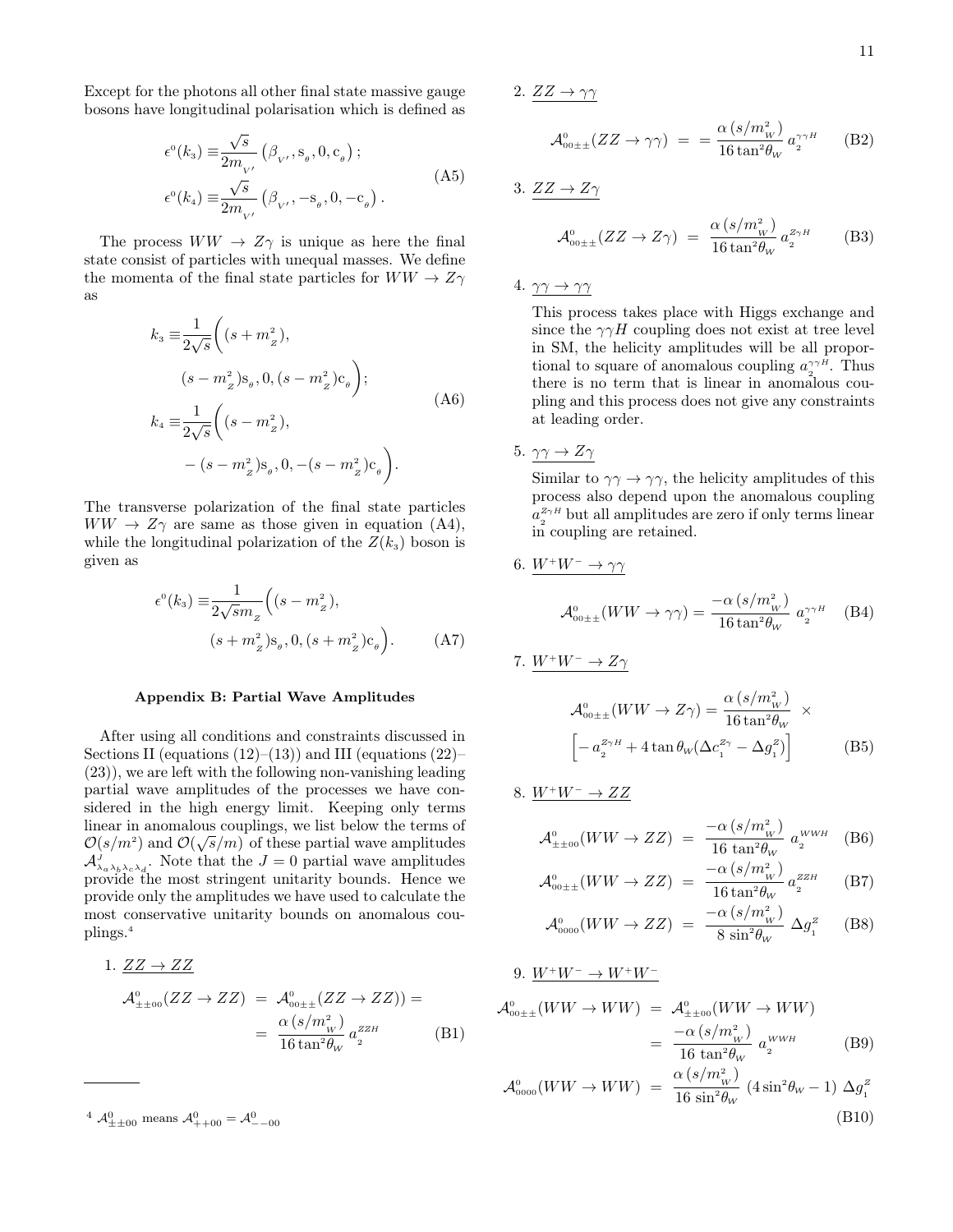11

Except for the photons all other final state massive gauge bosons have longitudinal polarisation which is defined as

$$
\epsilon^{\circ}(k_3) \equiv \frac{\sqrt{s}}{2m_{V'}} \left(\beta_{V'}, \mathbf{s}_{\theta}, 0, \mathbf{c}_{\theta}\right);
$$
  

$$
\epsilon^{\circ}(k_4) \equiv \frac{\sqrt{s}}{2m_{V'}} \left(\beta_{V'}, -\mathbf{s}_{\theta}, 0, -\mathbf{c}_{\theta}\right).
$$
 (A5)

The process  $WW \rightarrow Z\gamma$  is unique as here the final state consist of particles with unequal masses. We define the momenta of the final state particles for  $WW \rightarrow Z\gamma$ as

$$
k_3 \equiv \frac{1}{2\sqrt{s}} \bigg( (s + m_{_Z}^2),
$$
  
\n
$$
(s - m_{_Z}^2) s_{_\theta}, 0, (s - m_{_Z}^2) c_{_\theta} \bigg);
$$
  
\n
$$
k_4 \equiv \frac{1}{2\sqrt{s}} \bigg( (s - m_{_Z}^2),
$$
  
\n
$$
- (s - m_{_Z}^2) s_{_\theta}, 0, -(s - m_{_Z}^2) c_{_\theta} \bigg).
$$
  
\n(A6)

The transverse polarization of the final state particles  $WW \rightarrow Z\gamma$  are same as those given in equation (A4), while the longitudinal polarization of the  $Z(k_3)$  boson is given as

$$
\epsilon^{0}(k_{3}) \equiv \frac{1}{2\sqrt{sm}_{z}} \Big( (s - m_{z}^{2}),
$$
  

$$
(s + m_{z}^{2})s_{\theta}, 0, (s + m_{z}^{2})c_{\theta} \Big).
$$
 (A7)

#### Appendix B: Partial Wave Amplitudes

After using all conditions and constraints discussed in Sections II (equations  $(12)$ – $(13)$ ) and III (equations  $(22)$ – (23)), we are left with the following non-vanishing leading partial wave amplitudes of the processes we have considered in the high energy limit. Keeping only terms linear in anomalous couplings, we list below the terms of  $\mathcal{O}(\sqrt{2})$  $\mathcal{O}(s/m^2)$  and  $\mathcal{O}(\sqrt{s}/m)$  of these partial wave amplitudes  $\mathcal{A}_{\lambda_a\lambda_b\lambda_c\lambda_d}^J$ . Note that the  $J=0$  partial wave amplitudes provide the most stringent unitarity bounds. Hence we provide only the amplitudes we have used to calculate the most conservative unitarity bounds on anomalous couplings.<sup>4</sup>

1. 
$$
ZZ \rightarrow ZZ
$$
  
\n
$$
\mathcal{A}^{0}_{\pm \pm 00}(ZZ \rightarrow ZZ) = \mathcal{A}^{0}_{00 \pm \pm} (ZZ \rightarrow ZZ)) =
$$
  
\n
$$
= \frac{\alpha (s/m_{_W}^2)}{16 \tan^2 \theta_W} a_2^{ZZH}
$$
 (B1)

2.  $ZZ \rightarrow \gamma\gamma$ 

$$
\mathcal{A}_{00\pm\pm}^{0}(ZZ \to \gamma\gamma) = = \frac{\alpha (s/m_W^2)}{16 \tan^2 \theta_W} a_2^{\gamma\gamma H}
$$
 (B2)

3. 
$$
\frac{ZZ \to Z\gamma}{\mathcal{A}_{00\pm\pm}^0(ZZ \to Z\gamma)} = \frac{\alpha (s/m_W^2)}{16 \tan^2 \theta_W} a_2^{Z\gamma H}
$$
 (B3)

4.  $\gamma\gamma \rightarrow \gamma\gamma$ 

This process takes place with Higgs exchange and since the  $\gamma \gamma H$  coupling does not exist at tree level in SM, the helicity amplitudes will be all proportional to square of anomalous coupling  $a_{\gamma}^{\gamma \gamma H}$ . Thus there is no term that is linear in anomalous coupling and this process does not give any constraints at leading order.

5.  $\gamma\gamma \to Z\gamma$ 

Similar to  $\gamma\gamma \to \gamma\gamma$ , the helicity amplitudes of this process also depend upon the anomalous coupling  $a_2^{Z \gamma H}$  but all amplitudes are zero if only terms linear in coupling are retained.

6. 
$$
\frac{W^+W^-\to\gamma\gamma}{\mathcal{A}^0_{00\pm\pm}(WW\to\gamma\gamma)} = \frac{-\alpha (s/m_W^2)}{16\tan^2\theta_W} a_2^{\gamma\gamma H}
$$
 (B4)

7.  $W^+W^- \to Z\gamma$ 

$$
\mathcal{A}_{\text{out}\pm}^{0}(WW \to Z\gamma) = \frac{\alpha (s/m_{_W}^2)}{16 \tan^2 \theta_W} \times \left[ -a_2^{Z\gamma H} + 4 \tan \theta_W (\Delta c_1^{Z\gamma} - \Delta g_1^Z) \right] \tag{B5}
$$

8. 
$$
\underline{W^+W^-} \to ZZ
$$

$$
\mathcal{A}^{0}_{\pm \pm 00}(WW \to ZZ) = \frac{-\alpha (s/m_W^2)}{16 \tan^2 \theta_W} a_2^{WWH} \quad (B6)
$$

$$
\mathcal{A}_{\text{out}\pm}^{0}(WW \to ZZ) = \frac{-\alpha (s/m_{_W}^{2})}{16 \tan^{2} \theta_{W}} a_{_2}^{zzH}
$$
 (B7)

$$
\mathcal{A}_{0000}^{0}(WW \to ZZ) = \frac{-\alpha (s/m_W^2)}{8 \sin^2 \theta_W} \Delta g_1^z \quad \text{(B8)}
$$

9.  $W^+W^- \to W^+W^-$ 

$$
\mathcal{A}_{00\pm\pm}^{0}(WW \to WW) = \mathcal{A}_{\pm\pm 00}^{0}(WW \to WW)
$$

$$
= \frac{-\alpha (s/m_{_W}^2)}{16 \tan^2 \theta_W} a_2^{WWH} \tag{B9}
$$

$$
\mathcal{A}^{\scriptscriptstyle{0}}_{0000}(WW \to WW) = \frac{\alpha \left(s/m_W^2\right)}{16 \sin^2 \theta_W} \left(4 \sin^2 \theta_W - 1\right) \Delta g_1^Z
$$
\n(B10)

<sup>&</sup>lt;sup>4</sup>  $\mathcal{A}_{\pm\pm00}^{0}$  means  $\mathcal{A}_{++00}^{0} = \mathcal{A}_{--00}^{0}$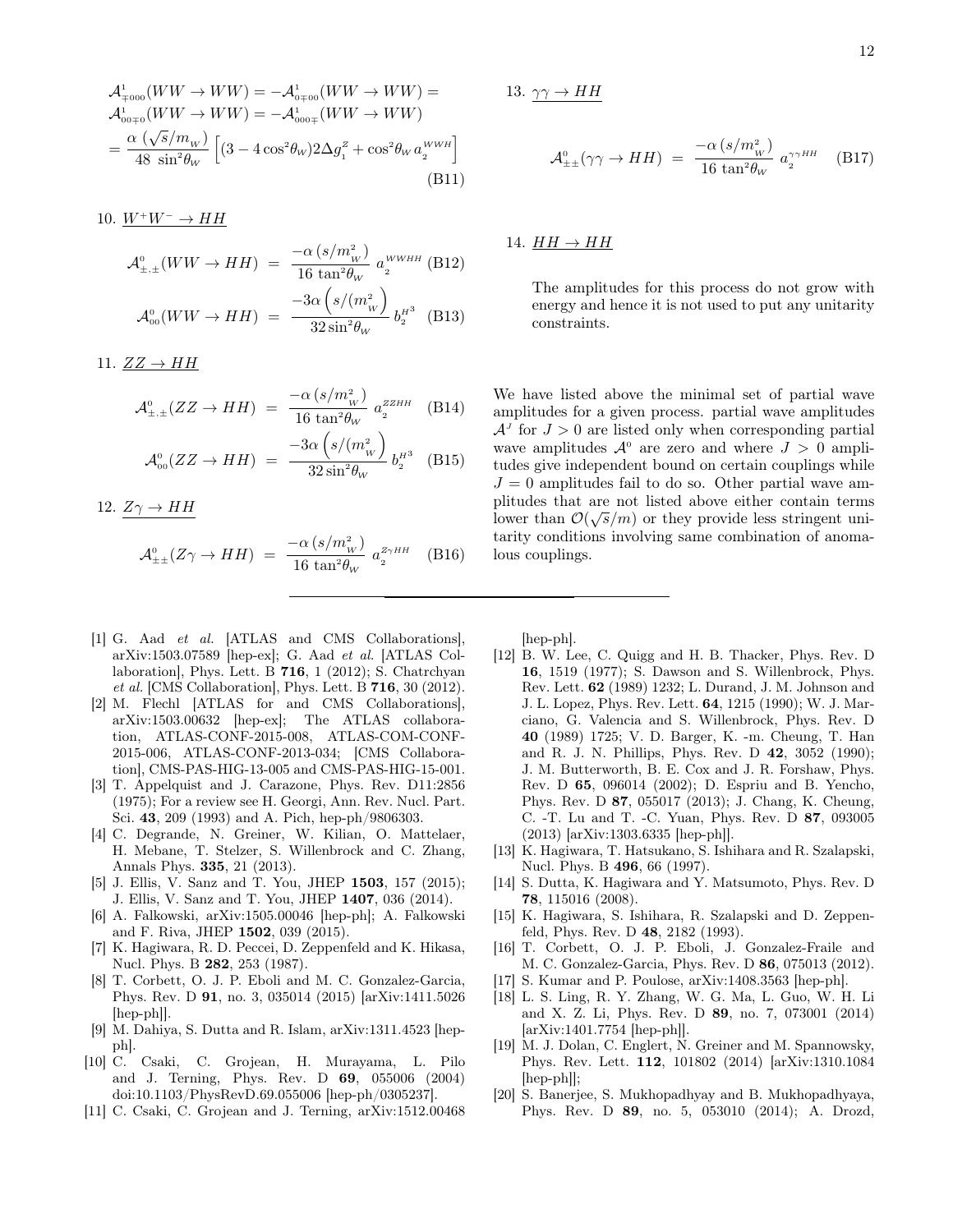$$
\mathcal{A}^{1}_{\mp 000}(WW \to WW) = -\mathcal{A}^{1}_{0\mp 00}(WW \to WW) =
$$
\n
$$
\mathcal{A}^{1}_{00\mp 0}(WW \to WW) = -\mathcal{A}^{1}_{000\mp}(WW \to WW)
$$
\n
$$
= \frac{\alpha (\sqrt{s}/m_{_W})}{48 \sin^2 \theta_W} \left[ (3 - 4 \cos^2 \theta_W) 2\Delta g_1^z + \cos^2 \theta_W a_2^{_WWH} \right]
$$
\n(B11)

10.  $W^+W^- \rightarrow HH$ 

$$
\mathcal{A}^{0}_{\pm,\pm}(WW \to HH) = \frac{-\alpha (s/m_{_W}^2)}{16 \tan^2 \theta_W} a_2^{WWHH} \text{ (B12)}
$$

$$
\mathcal{A}^{0}_{00}(WW \to HH) = \frac{-3\alpha (s/(m_{_W}^2)}{32 \sin^2 \theta_W} b_2^{_H3} \text{ (B13)}
$$

11.  $ZZ \rightarrow HH$ 

$$
\mathcal{A}^{\scriptscriptstyle{0}}_{\pm,\pm}(ZZ \to HH) \; = \; \frac{-\alpha \left( s/m^{\scriptscriptstyle{2}}_W \right)}{16 \, \tan^2 \theta_W} \; a^{\scriptscriptstyle{ZZHH}}_{\scriptscriptstyle{2}} \quad \text{(B14)}
$$

$$
\mathcal{A}_{oo}^{o}(ZZ \to HH) = \frac{-3\alpha \left( s/(m_{_W}^2 \right)}{32 \sin^2 \theta_W} b_2^{_H3} \quad \text{(B15)}
$$

12. 
$$
Z\gamma \to HH
$$

$$
\mathcal{A}^{\scriptscriptstyle{0}}_{\pm\pm}(Z\gamma \to HH) \; = \; \frac{-\alpha \left( s/m_W^2 \right)}{16 \, \tan^2 \theta_W} \; a_2^{z_{\gamma HH}} \quad \text{(B16)}
$$

13.  $\gamma\gamma \rightarrow HH$ 

$$
\mathcal{A}^{\scriptscriptstyle{0}}_{\pm\pm}(\gamma\gamma \to HH) \;=\; \frac{-\alpha \left( s/m^{\scriptscriptstyle{2}}_W \right)}{16\,\tan^2\!\theta_W} \,\, a^{\gamma\gamma HH}_{\scriptscriptstyle{2}} \qquad \ \ \textbf{(B17)}
$$

# 14.  $HH \rightarrow HH$

The amplitudes for this process do not grow with energy and hence it is not used to put any unitarity constraints.

We have listed above the minimal set of partial wave amplitudes for a given process. partial wave amplitudes  $\mathcal{A}^J$  for  $J > 0$  are listed only when corresponding partial wave amplitudes  $\mathcal{A}^0$  are zero and where  $J > 0$  amplitudes give independent bound on certain couplings while  $J = 0$  amplitudes fail to do so. Other partial wave amplitudes that are not listed above either contain terms lower than  $\mathcal{O}(\sqrt{s}/m)$  or they provide less stringent unitarity conditions involving same combination of anomalous couplings.

- [hep-ph].
- [12] B. W. Lee, C. Quigg and H. B. Thacker, Phys. Rev. D 16, 1519 (1977); S. Dawson and S. Willenbrock, Phys. Rev. Lett. 62 (1989) 1232; L. Durand, J. M. Johnson and J. L. Lopez, Phys. Rev. Lett. 64, 1215 (1990); W. J. Marciano, G. Valencia and S. Willenbrock, Phys. Rev. D 40 (1989) 1725; V. D. Barger, K. -m. Cheung, T. Han and R. J. N. Phillips, Phys. Rev. D 42, 3052 (1990); J. M. Butterworth, B. E. Cox and J. R. Forshaw, Phys. Rev. D 65, 096014 (2002); D. Espriu and B. Yencho, Phys. Rev. D 87, 055017 (2013); J. Chang, K. Cheung, C. -T. Lu and T. -C. Yuan, Phys. Rev. D 87, 093005 (2013) [arXiv:1303.6335 [hep-ph]].
- [13] K. Hagiwara, T. Hatsukano, S. Ishihara and R. Szalapski, Nucl. Phys. B 496, 66 (1997).
- [14] S. Dutta, K. Hagiwara and Y. Matsumoto, Phys. Rev. D 78, 115016 (2008).
- [15] K. Hagiwara, S. Ishihara, R. Szalapski and D. Zeppenfeld, Phys. Rev. D 48, 2182 (1993).
- [16] T. Corbett, O. J. P. Eboli, J. Gonzalez-Fraile and M. C. Gonzalez-Garcia, Phys. Rev. D 86, 075013 (2012).
- [17] S. Kumar and P. Poulose, arXiv:1408.3563 [hep-ph].
- [18] L. S. Ling, R. Y. Zhang, W. G. Ma, L. Guo, W. H. Li and X. Z. Li, Phys. Rev. D 89, no. 7, 073001 (2014) [arXiv:1401.7754 [hep-ph]].
- [19] M. J. Dolan, C. Englert, N. Greiner and M. Spannowsky, Phys. Rev. Lett. 112, 101802 (2014) [arXiv:1310.1084 [hep-ph]];
- [20] S. Banerjee, S. Mukhopadhyay and B. Mukhopadhyaya, Phys. Rev. D 89, no. 5, 053010 (2014); A. Drozd,

[1] G. Aad et al. [ATLAS and CMS Collaborations], arXiv:1503.07589 [hep-ex]; G. Aad et al. [ATLAS Col-

- laboration], Phys. Lett. B 716, 1 (2012); S. Chatrchyan et al. [CMS Collaboration], Phys. Lett. B 716, 30 (2012). [2] M. Flechl [ATLAS for and CMS Collaborations], arXiv:1503.00632 [hep-ex]; The ATLAS collaboration, ATLAS-CONF-2015-008, ATLAS-COM-CONF-
- 2015-006, ATLAS-CONF-2013-034; [CMS Collaboration], CMS-PAS-HIG-13-005 and CMS-PAS-HIG-15-001. [3] T. Appelquist and J. Carazone, Phys. Rev. D11:2856
- (1975); For a review see H. Georgi, Ann. Rev. Nucl. Part. Sci. 43, 209 (1993) and A. Pich, hep-ph/9806303. [4] C. Degrande, N. Greiner, W. Kilian, O. Mattelaer,
- H. Mebane, T. Stelzer, S. Willenbrock and C. Zhang, Annals Phys. 335, 21 (2013).
- [5] J. Ellis, V. Sanz and T. You, JHEP 1503, 157 (2015); J. Ellis, V. Sanz and T. You, JHEP 1407, 036 (2014).
- [6] A. Falkowski, arXiv:1505.00046 [hep-ph]; A. Falkowski and F. Riva, JHEP 1502, 039 (2015).
- [7] K. Hagiwara, R. D. Peccei, D. Zeppenfeld and K. Hikasa, Nucl. Phys. B 282, 253 (1987).
- [8] T. Corbett, O. J. P. Eboli and M. C. Gonzalez-Garcia, Phys. Rev. D 91, no. 3, 035014 (2015) [arXiv:1411.5026 [hep-ph]].
- [9] M. Dahiya, S. Dutta and R. Islam, arXiv:1311.4523 [hepph].
- [10] C. Csaki, C. Grojean, H. Murayama, L. Pilo and J. Terning, Phys. Rev. D 69, 055006 (2004) doi:10.1103/PhysRevD.69.055006 [hep-ph/0305237].
- [11] C. Csaki, C. Grojean and J. Terning, arXiv:1512.00468